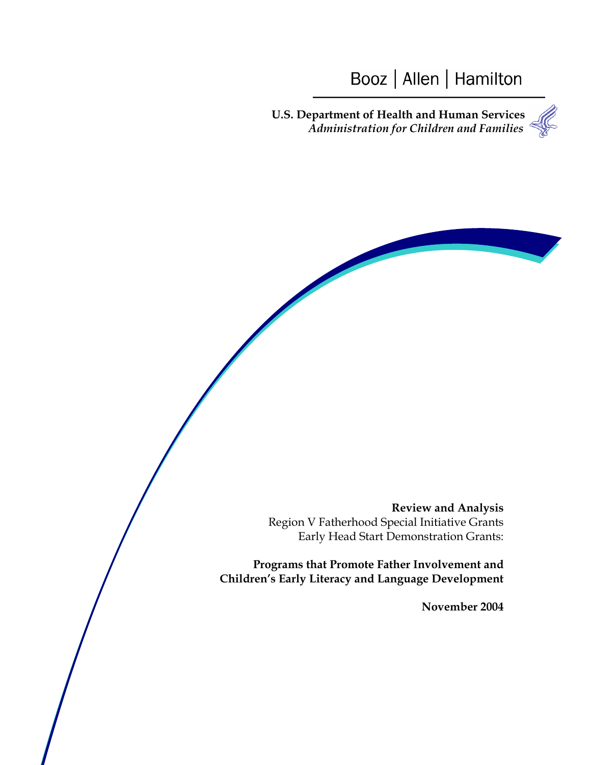# Booz | Allen | Hamilton

**U.S. Department of Health and Human Services** *Administration for Children and Families*

**Review and Analysis** Region V Fatherhood Special Initiative Grants Early Head Start Demonstration Grants:

**Programs that Promote Father Involvement and Children's Early Literacy and Language Development**

**November 2004**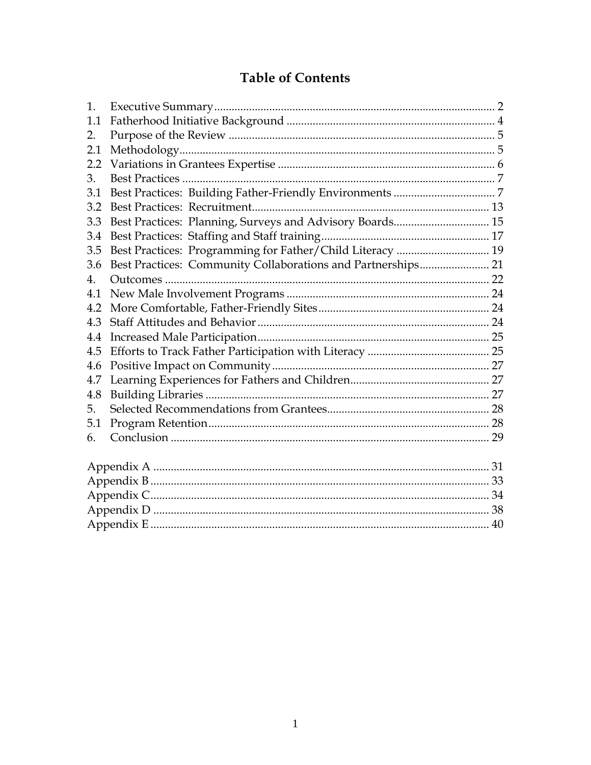## **Table of Contents**

| 1.  |                                                              |  |
|-----|--------------------------------------------------------------|--|
| 1.1 |                                                              |  |
| 2.  |                                                              |  |
| 2.1 |                                                              |  |
| 2.2 |                                                              |  |
| 3.  |                                                              |  |
| 3.1 |                                                              |  |
| 3.2 |                                                              |  |
| 3.3 | Best Practices: Planning, Surveys and Advisory Boards 15     |  |
| 3.4 |                                                              |  |
| 3.5 | Best Practices: Programming for Father/Child Literacy  19    |  |
| 3.6 | Best Practices: Community Collaborations and Partnerships 21 |  |
| 4.  |                                                              |  |
| 4.1 |                                                              |  |
| 4.2 |                                                              |  |
| 4.3 |                                                              |  |
| 4.4 |                                                              |  |
| 4.5 |                                                              |  |
| 4.6 |                                                              |  |
| 4.7 |                                                              |  |
| 4.8 |                                                              |  |
| 5.  |                                                              |  |
| 5.1 |                                                              |  |
| 6.  |                                                              |  |
|     |                                                              |  |
|     |                                                              |  |
|     |                                                              |  |
|     |                                                              |  |
|     |                                                              |  |
|     |                                                              |  |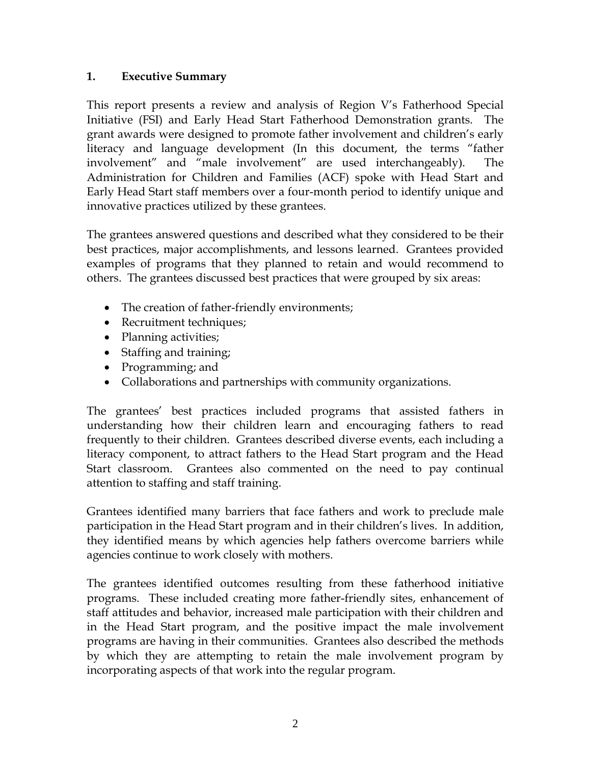## **1. Executive Summary**

This report presents a review and analysis of Region V's Fatherhood Special Initiative (FSI) and Early Head Start Fatherhood Demonstration grants. The grant awards were designed to promote father involvement and children's early literacy and language development (In this document, the terms "father involvement" and "male involvement" are used interchangeably). The Administration for Children and Families (ACF) spoke with Head Start and Early Head Start staff members over a four-month period to identify unique and innovative practices utilized by these grantees.

The grantees answered questions and described what they considered to be their best practices, major accomplishments, and lessons learned. Grantees provided examples of programs that they planned to retain and would recommend to others. The grantees discussed best practices that were grouped by six areas:

- The creation of father-friendly environments;
- Recruitment techniques;
- Planning activities;
- Staffing and training;
- Programming; and
- Collaborations and partnerships with community organizations.

The grantees' best practices included programs that assisted fathers in understanding how their children learn and encouraging fathers to read frequently to their children. Grantees described diverse events, each including a literacy component, to attract fathers to the Head Start program and the Head Start classroom. Grantees also commented on the need to pay continual attention to staffing and staff training.

Grantees identified many barriers that face fathers and work to preclude male participation in the Head Start program and in their children's lives. In addition, they identified means by which agencies help fathers overcome barriers while agencies continue to work closely with mothers.

The grantees identified outcomes resulting from these fatherhood initiative programs. These included creating more father-friendly sites, enhancement of staff attitudes and behavior, increased male participation with their children and in the Head Start program, and the positive impact the male involvement programs are having in their communities. Grantees also described the methods by which they are attempting to retain the male involvement program by incorporating aspects of that work into the regular program.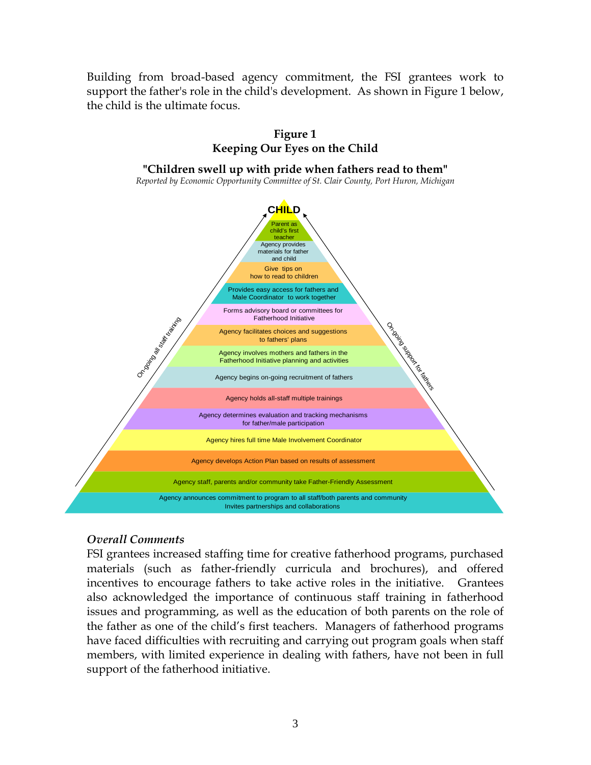Building from broad-based agency commitment, the FSI grantees work to support the father's role in the child's development. As shown in Figure 1 below, the child is the ultimate focus.



#### *Overall Comments*

FSI grantees increased staffing time for creative fatherhood programs, purchased materials (such as father-friendly curricula and brochures), and offered incentives to encourage fathers to take active roles in the initiative. Grantees also acknowledged the importance of continuous staff training in fatherhood issues and programming, as well as the education of both parents on the role of the father as one of the child's first teachers. Managers of fatherhood programs have faced difficulties with recruiting and carrying out program goals when staff members, with limited experience in dealing with fathers, have not been in full support of the fatherhood initiative.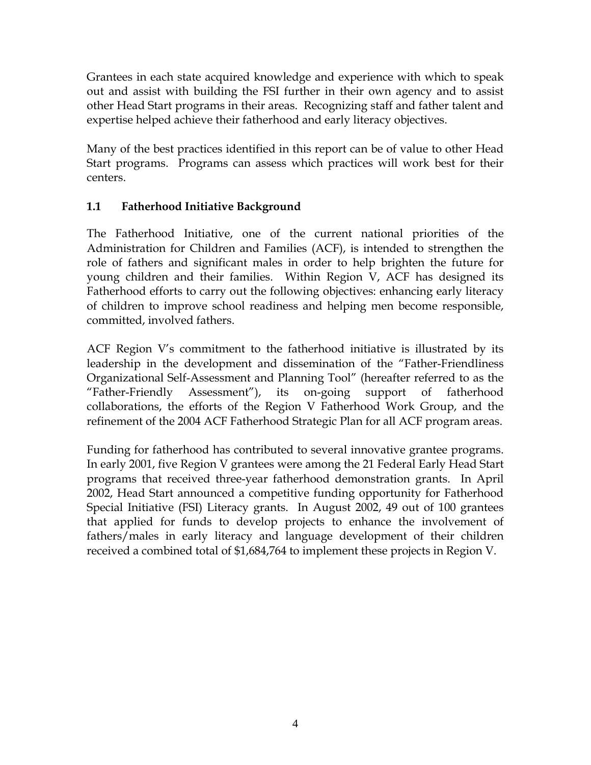Grantees in each state acquired knowledge and experience with which to speak out and assist with building the FSI further in their own agency and to assist other Head Start programs in their areas. Recognizing staff and father talent and expertise helped achieve their fatherhood and early literacy objectives.

Many of the best practices identified in this report can be of value to other Head Start programs. Programs can assess which practices will work best for their centers.

## **1.1 Fatherhood Initiative Background**

The Fatherhood Initiative, one of the current national priorities of the Administration for Children and Families (ACF), is intended to strengthen the role of fathers and significant males in order to help brighten the future for young children and their families. Within Region V, ACF has designed its Fatherhood efforts to carry out the following objectives: enhancing early literacy of children to improve school readiness and helping men become responsible, committed, involved fathers.

ACF Region V's commitment to the fatherhood initiative is illustrated by its leadership in the development and dissemination of the "Father-Friendliness Organizational Self-Assessment and Planning Tool" (hereafter referred to as the "Father-Friendly Assessment"), its on-going support of fatherhood collaborations, the efforts of the Region V Fatherhood Work Group, and the refinement of the 2004 ACF Fatherhood Strategic Plan for all ACF program areas.

Funding for fatherhood has contributed to several innovative grantee programs. In early 2001, five Region V grantees were among the 21 Federal Early Head Start programs that received three-year fatherhood demonstration grants. In April 2002, Head Start announced a competitive funding opportunity for Fatherhood Special Initiative (FSI) Literacy grants. In August 2002, 49 out of 100 grantees that applied for funds to develop projects to enhance the involvement of fathers/males in early literacy and language development of their children received a combined total of \$1,684,764 to implement these projects in Region V.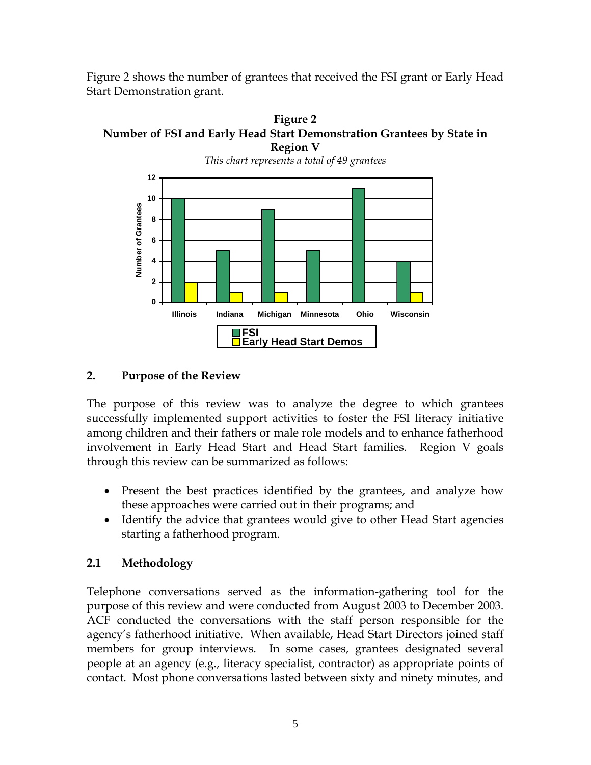Figure 2 shows the number of grantees that received the FSI grant or Early Head Start Demonstration grant.





**2. Purpose of the Review** 

The purpose of this review was to analyze the degree to which grantees successfully implemented support activities to foster the FSI literacy initiative among children and their fathers or male role models and to enhance fatherhood involvement in Early Head Start and Head Start families. Region V goals through this review can be summarized as follows:

- Present the best practices identified by the grantees, and analyze how these approaches were carried out in their programs; and
- Identify the advice that grantees would give to other Head Start agencies starting a fatherhood program.

## **2.1 Methodology**

Telephone conversations served as the information-gathering tool for the purpose of this review and were conducted from August 2003 to December 2003. ACF conducted the conversations with the staff person responsible for the agency's fatherhood initiative. When available, Head Start Directors joined staff members for group interviews. In some cases, grantees designated several people at an agency (e.g., literacy specialist, contractor) as appropriate points of contact. Most phone conversations lasted between sixty and ninety minutes, and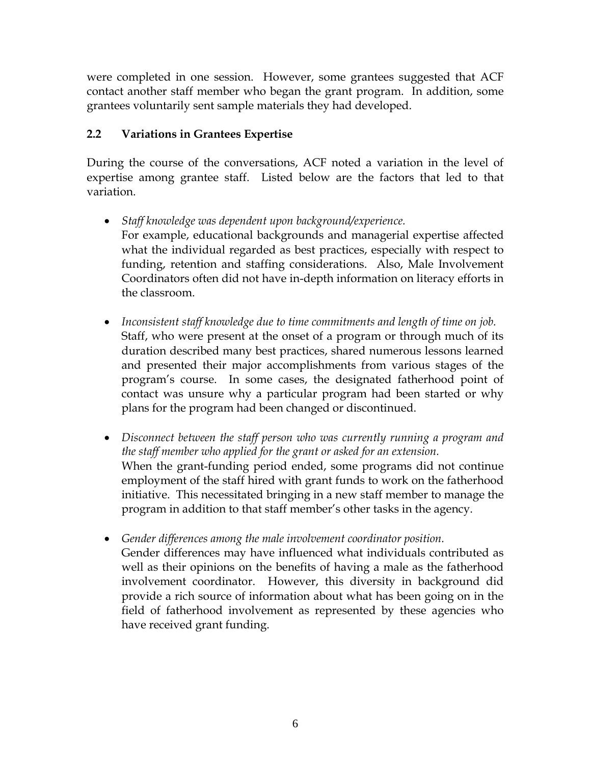were completed in one session. However, some grantees suggested that ACF contact another staff member who began the grant program. In addition, some grantees voluntarily sent sample materials they had developed.

## **2.2 Variations in Grantees Expertise**

During the course of the conversations, ACF noted a variation in the level of expertise among grantee staff. Listed below are the factors that led to that variation.

- *Staff knowledge was dependent upon background/experience.*  For example, educational backgrounds and managerial expertise affected what the individual regarded as best practices, especially with respect to funding, retention and staffing considerations. Also, Male Involvement Coordinators often did not have in-depth information on literacy efforts in the classroom.
- *Inconsistent staff knowledge due to time commitments and length of time on job.*  Staff, who were present at the onset of a program or through much of its duration described many best practices, shared numerous lessons learned and presented their major accomplishments from various stages of the program's course. In some cases, the designated fatherhood point of contact was unsure why a particular program had been started or why plans for the program had been changed or discontinued.
- *Disconnect between the staff person who was currently running a program and the staff member who applied for the grant or asked for an extension.*  When the grant-funding period ended, some programs did not continue employment of the staff hired with grant funds to work on the fatherhood initiative. This necessitated bringing in a new staff member to manage the program in addition to that staff member's other tasks in the agency.
- *Gender differences among the male involvement coordinator position.*  Gender differences may have influenced what individuals contributed as well as their opinions on the benefits of having a male as the fatherhood involvement coordinator. However, this diversity in background did provide a rich source of information about what has been going on in the field of fatherhood involvement as represented by these agencies who have received grant funding.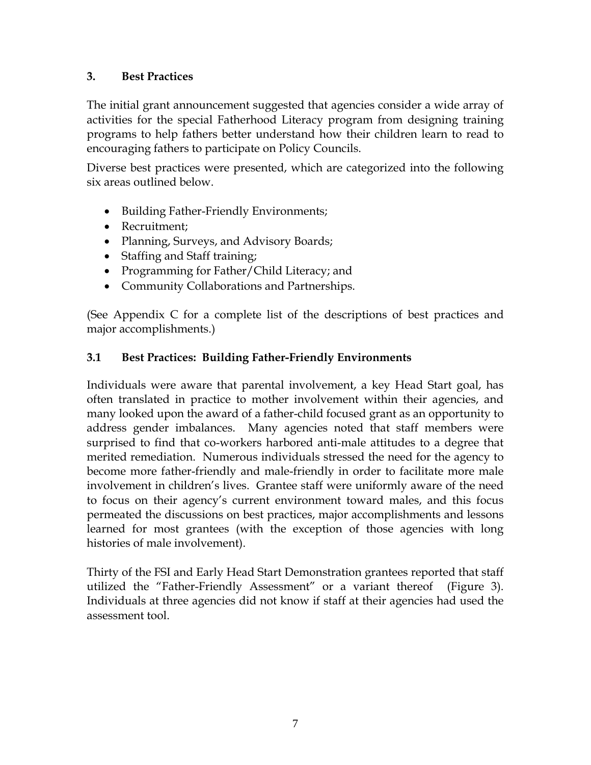## **3. Best Practices**

The initial grant announcement suggested that agencies consider a wide array of activities for the special Fatherhood Literacy program from designing training programs to help fathers better understand how their children learn to read to encouraging fathers to participate on Policy Councils.

Diverse best practices were presented, which are categorized into the following six areas outlined below.

- Building Father-Friendly Environments;
- Recruitment;
- Planning, Surveys, and Advisory Boards;
- Staffing and Staff training;
- Programming for Father/Child Literacy; and
- Community Collaborations and Partnerships.

(See Appendix C for a complete list of the descriptions of best practices and major accomplishments.)

## **3.1 Best Practices: Building Father-Friendly Environments**

Individuals were aware that parental involvement, a key Head Start goal, has often translated in practice to mother involvement within their agencies, and many looked upon the award of a father-child focused grant as an opportunity to address gender imbalances. Many agencies noted that staff members were surprised to find that co-workers harbored anti-male attitudes to a degree that merited remediation. Numerous individuals stressed the need for the agency to become more father-friendly and male-friendly in order to facilitate more male involvement in children's lives. Grantee staff were uniformly aware of the need to focus on their agency's current environment toward males, and this focus permeated the discussions on best practices, major accomplishments and lessons learned for most grantees (with the exception of those agencies with long histories of male involvement).

Thirty of the FSI and Early Head Start Demonstration grantees reported that staff utilized the "Father-Friendly Assessment" or a variant thereof (Figure 3). Individuals at three agencies did not know if staff at their agencies had used the assessment tool.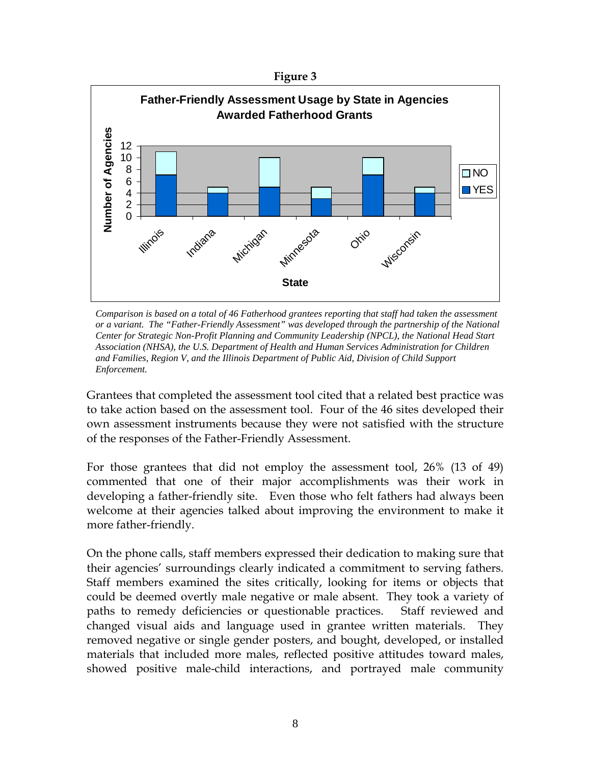



*Comparison is based on a total of 46 Fatherhood grantees reporting that staff had taken the assessment or a variant. The "Father-Friendly Assessment" was developed through the partnership of the National Center for Strategic Non-Profit Planning and Community Leadership (NPCL), the National Head Start Association (NHSA), the U.S. Department of Health and Human Services Administration for Children and Families, Region V, and the Illinois Department of Public Aid, Division of Child Support Enforcement.*

Grantees that completed the assessment tool cited that a related best practice was to take action based on the assessment tool. Four of the 46 sites developed their own assessment instruments because they were not satisfied with the structure of the responses of the Father-Friendly Assessment.

For those grantees that did not employ the assessment tool, 26% (13 of 49) commented that one of their major accomplishments was their work in developing a father-friendly site. Even those who felt fathers had always been welcome at their agencies talked about improving the environment to make it more father-friendly.

On the phone calls, staff members expressed their dedication to making sure that their agencies' surroundings clearly indicated a commitment to serving fathers. Staff members examined the sites critically, looking for items or objects that could be deemed overtly male negative or male absent. They took a variety of paths to remedy deficiencies or questionable practices. Staff reviewed and changed visual aids and language used in grantee written materials. They removed negative or single gender posters, and bought, developed, or installed materials that included more males, reflected positive attitudes toward males, showed positive male-child interactions, and portrayed male community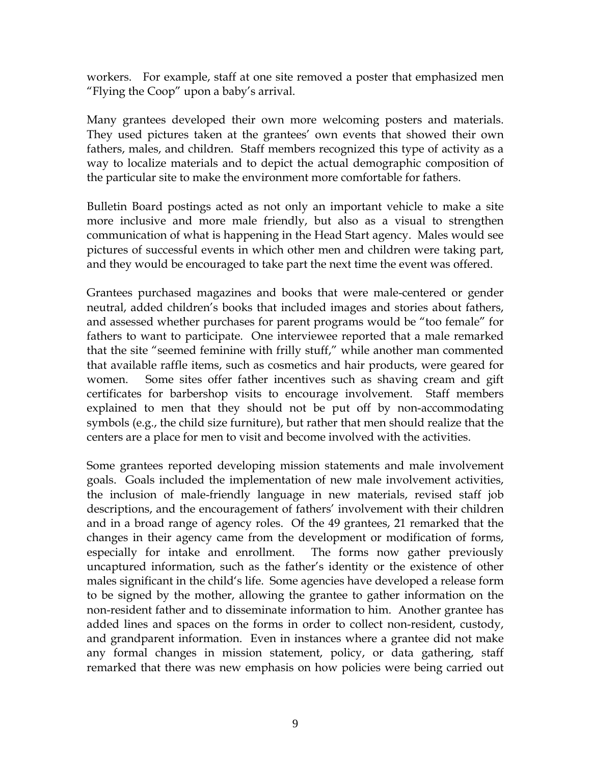workers. For example, staff at one site removed a poster that emphasized men "Flying the Coop" upon a baby's arrival.

Many grantees developed their own more welcoming posters and materials. They used pictures taken at the grantees' own events that showed their own fathers, males, and children. Staff members recognized this type of activity as a way to localize materials and to depict the actual demographic composition of the particular site to make the environment more comfortable for fathers.

Bulletin Board postings acted as not only an important vehicle to make a site more inclusive and more male friendly, but also as a visual to strengthen communication of what is happening in the Head Start agency. Males would see pictures of successful events in which other men and children were taking part, and they would be encouraged to take part the next time the event was offered.

Grantees purchased magazines and books that were male-centered or gender neutral, added children's books that included images and stories about fathers, and assessed whether purchases for parent programs would be "too female" for fathers to want to participate. One interviewee reported that a male remarked that the site "seemed feminine with frilly stuff," while another man commented that available raffle items, such as cosmetics and hair products, were geared for women. Some sites offer father incentives such as shaving cream and gift certificates for barbershop visits to encourage involvement. Staff members explained to men that they should not be put off by non-accommodating symbols (e.g., the child size furniture), but rather that men should realize that the centers are a place for men to visit and become involved with the activities.

Some grantees reported developing mission statements and male involvement goals. Goals included the implementation of new male involvement activities, the inclusion of male-friendly language in new materials, revised staff job descriptions, and the encouragement of fathers' involvement with their children and in a broad range of agency roles. Of the 49 grantees, 21 remarked that the changes in their agency came from the development or modification of forms, especially for intake and enrollment. The forms now gather previously uncaptured information, such as the father's identity or the existence of other males significant in the child's life. Some agencies have developed a release form to be signed by the mother, allowing the grantee to gather information on the non-resident father and to disseminate information to him. Another grantee has added lines and spaces on the forms in order to collect non-resident, custody, and grandparent information. Even in instances where a grantee did not make any formal changes in mission statement, policy, or data gathering, staff remarked that there was new emphasis on how policies were being carried out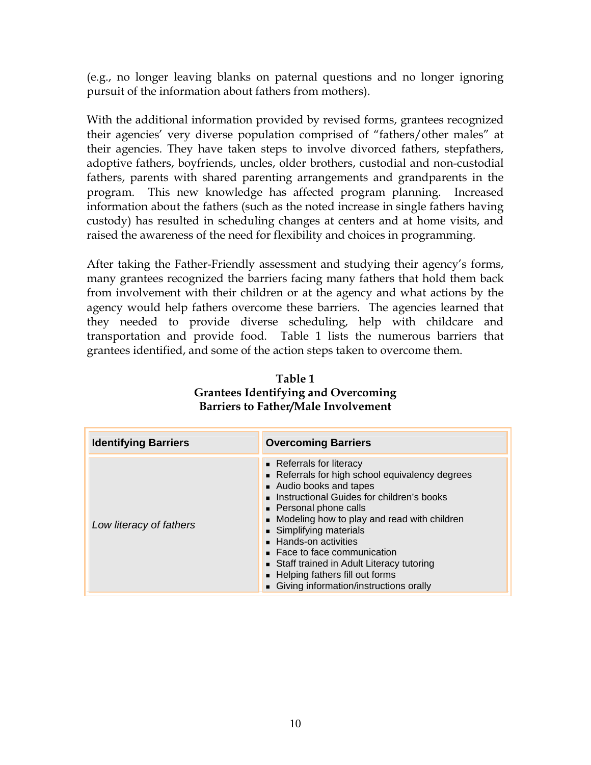(e.g., no longer leaving blanks on paternal questions and no longer ignoring pursuit of the information about fathers from mothers).

With the additional information provided by revised forms, grantees recognized their agencies' very diverse population comprised of "fathers/other males" at their agencies. They have taken steps to involve divorced fathers, stepfathers, adoptive fathers, boyfriends, uncles, older brothers, custodial and non-custodial fathers, parents with shared parenting arrangements and grandparents in the program. This new knowledge has affected program planning. Increased information about the fathers (such as the noted increase in single fathers having custody) has resulted in scheduling changes at centers and at home visits, and raised the awareness of the need for flexibility and choices in programming.

After taking the Father-Friendly assessment and studying their agency's forms, many grantees recognized the barriers facing many fathers that hold them back from involvement with their children or at the agency and what actions by the agency would help fathers overcome these barriers. The agencies learned that they needed to provide diverse scheduling, help with childcare and transportation and provide food. Table 1 lists the numerous barriers that grantees identified, and some of the action steps taken to overcome them.

| <b>Identifying Barriers</b> | <b>Overcoming Barriers</b>                                                                                                                                                                                                                                                                                                                                                                                                               |
|-----------------------------|------------------------------------------------------------------------------------------------------------------------------------------------------------------------------------------------------------------------------------------------------------------------------------------------------------------------------------------------------------------------------------------------------------------------------------------|
| Low literacy of fathers     | • Referrals for literacy<br>Referrals for high school equivalency degrees<br>• Audio books and tapes<br>Instructional Guides for children's books<br>• Personal phone calls<br>• Modeling how to play and read with children<br>Simplifying materials<br>■ Hands-on activities<br>■ Face to face communication<br>Staff trained in Adult Literacy tutoring<br>- Helping fathers fill out forms<br>Giving information/instructions orally |

**Table 1 Grantees Identifying and Overcoming Barriers to Father/Male Involvement**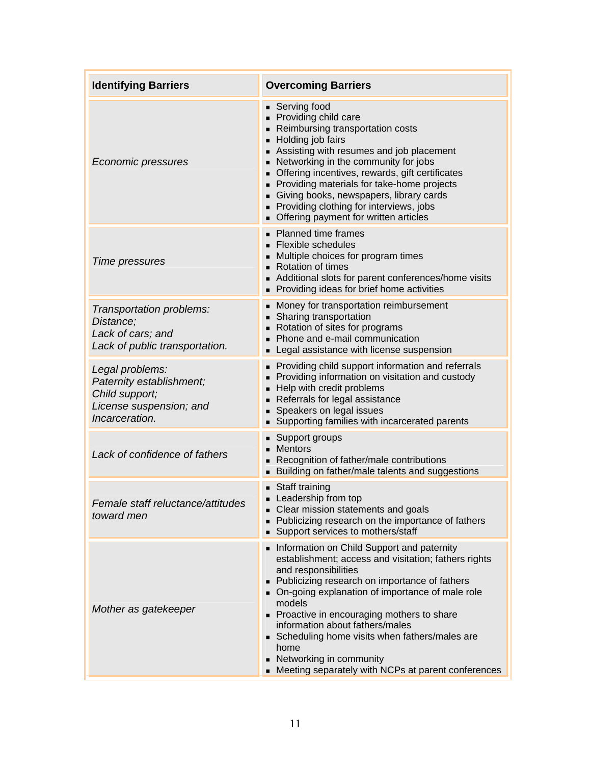| <b>Identifying Barriers</b>                                                                                | <b>Overcoming Barriers</b>                                                                                                                                                                                                                                                                                                                                                                                                                                                   |  |  |
|------------------------------------------------------------------------------------------------------------|------------------------------------------------------------------------------------------------------------------------------------------------------------------------------------------------------------------------------------------------------------------------------------------------------------------------------------------------------------------------------------------------------------------------------------------------------------------------------|--|--|
| <b>Economic pressures</b>                                                                                  | ■ Serving food<br>Providing child care<br>Reimbursing transportation costs<br>Holding job fairs<br>Assisting with resumes and job placement<br>• Networking in the community for jobs<br>• Offering incentives, rewards, gift certificates<br>Providing materials for take-home projects<br>Giving books, newspapers, library cards<br>Providing clothing for interviews, jobs<br>• Offering payment for written articles                                                    |  |  |
| Time pressures                                                                                             | • Planned time frames<br>• Flexible schedules<br>• Multiple choices for program times<br>■ Rotation of times<br>Additional slots for parent conferences/home visits<br>Providing ideas for brief home activities                                                                                                                                                                                                                                                             |  |  |
| Transportation problems:<br>Distance:<br>Lack of cars; and<br>Lack of public transportation.               | • Money for transportation reimbursement<br>• Sharing transportation<br>Rotation of sites for programs<br>Phone and e-mail communication<br>Legal assistance with license suspension<br>٠                                                                                                                                                                                                                                                                                    |  |  |
| Legal problems:<br>Paternity establishment;<br>Child support;<br>License suspension; and<br>Incarceration. | • Providing child support information and referrals<br>Providing information on visitation and custody<br>- Help with credit problems<br>Referrals for legal assistance<br>Speakers on legal issues<br>п<br>Supporting families with incarcerated parents                                                                                                                                                                                                                    |  |  |
| Lack of confidence of fathers                                                                              | ■ Support groups<br><b>Mentors</b><br>Recognition of father/male contributions<br>Building on father/male talents and suggestions                                                                                                                                                                                                                                                                                                                                            |  |  |
| Female staff reluctance/attitudes<br>toward men                                                            | ■ Staff training<br>Leadership from top<br>• Clear mission statements and goals<br>• Publicizing research on the importance of fathers<br>• Support services to mothers/staff                                                                                                                                                                                                                                                                                                |  |  |
| Mother as gatekeeper                                                                                       | Information on Child Support and paternity<br>establishment; access and visitation; fathers rights<br>and responsibilities<br>• Publicizing research on importance of fathers<br>• On-going explanation of importance of male role<br>models<br>• Proactive in encouraging mothers to share<br>information about fathers/males<br>Scheduling home visits when fathers/males are<br>home<br>• Networking in community<br>• Meeting separately with NCPs at parent conferences |  |  |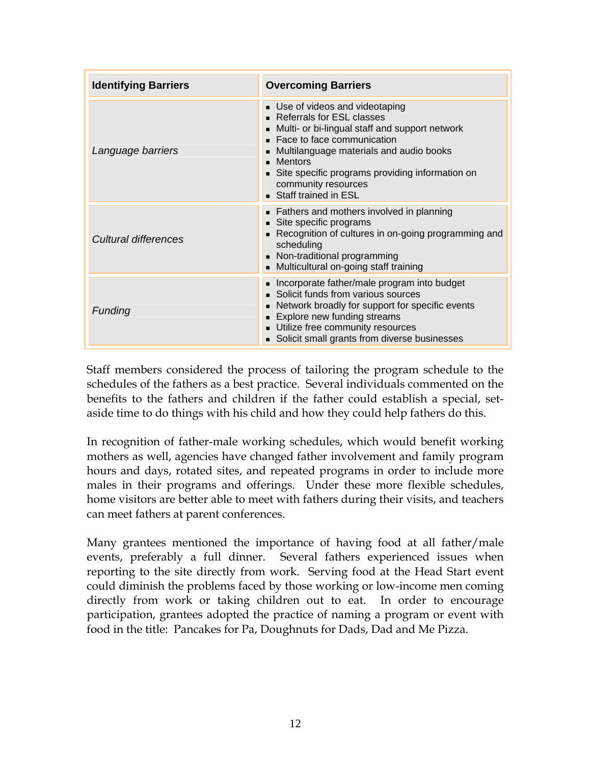| <b>Identifying Barriers</b> | <b>Overcoming Barriers</b>                                                                                                                                                                                                                                                                               |
|-----------------------------|----------------------------------------------------------------------------------------------------------------------------------------------------------------------------------------------------------------------------------------------------------------------------------------------------------|
| Language barriers           | Use of videos and videotaping<br>■ Referrals for ESL classes<br>• Multi- or bi-lingual staff and support network<br>Face to face communication<br>Multilanguage materials and audio books<br>• Mentors<br>Site specific programs providing information on<br>community resources<br>Staff trained in ESL |
| Cultural differences        | • Fathers and mothers involved in planning<br>Site specific programs<br>Recognition of cultures in on-going programming and<br>scheduling<br>• Non-traditional programming<br>• Multicultural on-going staff training                                                                                    |
| Funding                     | • Incorporate father/male program into budget<br>• Solicit funds from various sources<br>• Network broadly for support for specific events<br>• Explore new funding streams<br>Utilize free community resources<br>• Solicit small grants from diverse businesses                                        |

Staff members considered the process of tailoring the program schedule to the schedules of the fathers as a best practice. Several individuals commented on the benefits to the fathers and children if the father could establish a special, setaside time to do things with his child and how they could help fathers do this.

In recognition of father-male working schedules, which would benefit working mothers as well, agencies have changed father involvement and family program hours and days, rotated sites, and repeated programs in order to include more males in their programs and offerings. Under these more flexible schedules, home visitors are better able to meet with fathers during their visits, and teachers can meet fathers at parent conferences.

Many grantees mentioned the importance of having food at all father/male events, preferably a full dinner. Several fathers experienced issues when reporting to the site directly from work. Serving food at the Head Start event could diminish the problems faced by those working or low-income men coming directly from work or taking children out to eat. In order to encourage participation, grantees adopted the practice of naming a program or event with food in the title: Pancakes for Pa, Doughnuts for Dads, Dad and Me Pizza.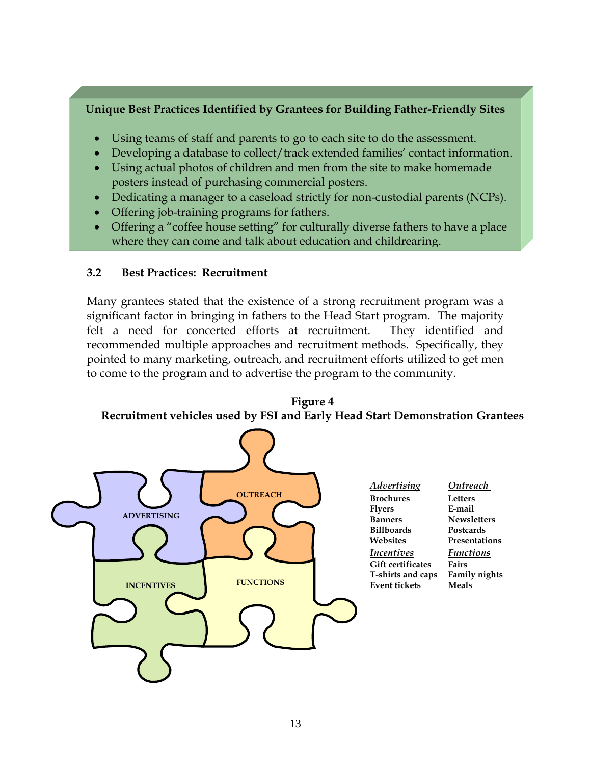## **Unique Best Practices Identified by Grantees for Building Father-Friendly Sites**

- Using teams of staff and parents to go to each site to do the assessment.
- Developing a database to collect/track extended families' contact information.
- Using actual photos of children and men from the site to make homemade posters instead of purchasing commercial posters.
- Dedicating a manager to a caseload strictly for non-custodial parents (NCPs).
- Offering job-training programs for fathers.
- Offering a "coffee house setting" for culturally diverse fathers to have a place where they can come and talk about education and childrearing.

## **3.2 Best Practices: Recruitment**

Many grantees stated that the existence of a strong recruitment program was a significant factor in bringing in fathers to the Head Start program. The majority felt a need for concerted efforts at recruitment. They identified and recommended multiple approaches and recruitment methods. Specifically, they pointed to many marketing, outreach, and recruitment efforts utilized to get men to come to the program and to advertise the program to the community.

**Figure 4 Recruitment vehicles used by FSI and Early Head Start Demonstration Grantees** 

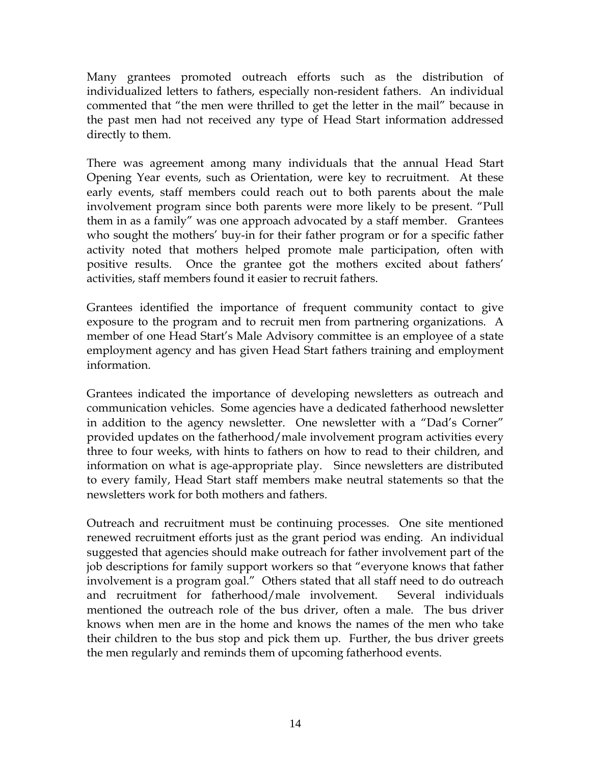Many grantees promoted outreach efforts such as the distribution of individualized letters to fathers, especially non-resident fathers. An individual commented that "the men were thrilled to get the letter in the mail" because in the past men had not received any type of Head Start information addressed directly to them.

There was agreement among many individuals that the annual Head Start Opening Year events, such as Orientation, were key to recruitment. At these early events, staff members could reach out to both parents about the male involvement program since both parents were more likely to be present. "Pull them in as a family" was one approach advocated by a staff member. Grantees who sought the mothers' buy-in for their father program or for a specific father activity noted that mothers helped promote male participation, often with positive results. Once the grantee got the mothers excited about fathers' activities, staff members found it easier to recruit fathers.

Grantees identified the importance of frequent community contact to give exposure to the program and to recruit men from partnering organizations. A member of one Head Start's Male Advisory committee is an employee of a state employment agency and has given Head Start fathers training and employment information.

Grantees indicated the importance of developing newsletters as outreach and communication vehicles. Some agencies have a dedicated fatherhood newsletter in addition to the agency newsletter. One newsletter with a "Dad's Corner" provided updates on the fatherhood/male involvement program activities every three to four weeks, with hints to fathers on how to read to their children, and information on what is age-appropriate play. Since newsletters are distributed to every family, Head Start staff members make neutral statements so that the newsletters work for both mothers and fathers.

Outreach and recruitment must be continuing processes. One site mentioned renewed recruitment efforts just as the grant period was ending. An individual suggested that agencies should make outreach for father involvement part of the job descriptions for family support workers so that "everyone knows that father involvement is a program goal." Others stated that all staff need to do outreach and recruitment for fatherhood/male involvement. Several individuals mentioned the outreach role of the bus driver, often a male. The bus driver knows when men are in the home and knows the names of the men who take their children to the bus stop and pick them up. Further, the bus driver greets the men regularly and reminds them of upcoming fatherhood events.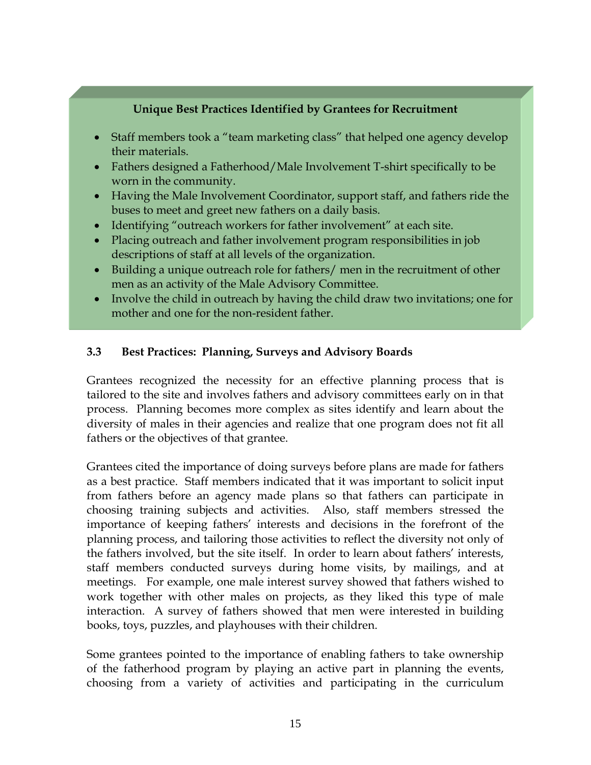## **Unique Best Practices Identified by Grantees for Recruitment**

- Staff members took a "team marketing class" that helped one agency develop their materials.
- Fathers designed a Fatherhood/Male Involvement T-shirt specifically to be worn in the community.
- Having the Male Involvement Coordinator, support staff, and fathers ride the buses to meet and greet new fathers on a daily basis.
- Identifying "outreach workers for father involvement" at each site.
- Placing outreach and father involvement program responsibilities in job descriptions of staff at all levels of the organization.
- Building a unique outreach role for fathers/ men in the recruitment of other men as an activity of the Male Advisory Committee.
- Involve the child in outreach by having the child draw two invitations; one for mother and one for the non-resident father.

### **3.3 Best Practices: Planning, Surveys and Advisory Boards**

Grantees recognized the necessity for an effective planning process that is tailored to the site and involves fathers and advisory committees early on in that process. Planning becomes more complex as sites identify and learn about the diversity of males in their agencies and realize that one program does not fit all fathers or the objectives of that grantee.

Grantees cited the importance of doing surveys before plans are made for fathers as a best practice. Staff members indicated that it was important to solicit input from fathers before an agency made plans so that fathers can participate in choosing training subjects and activities. Also, staff members stressed the importance of keeping fathers' interests and decisions in the forefront of the planning process, and tailoring those activities to reflect the diversity not only of the fathers involved, but the site itself. In order to learn about fathers' interests, staff members conducted surveys during home visits, by mailings, and at meetings. For example, one male interest survey showed that fathers wished to work together with other males on projects, as they liked this type of male interaction. A survey of fathers showed that men were interested in building books, toys, puzzles, and playhouses with their children.

Some grantees pointed to the importance of enabling fathers to take ownership of the fatherhood program by playing an active part in planning the events, choosing from a variety of activities and participating in the curriculum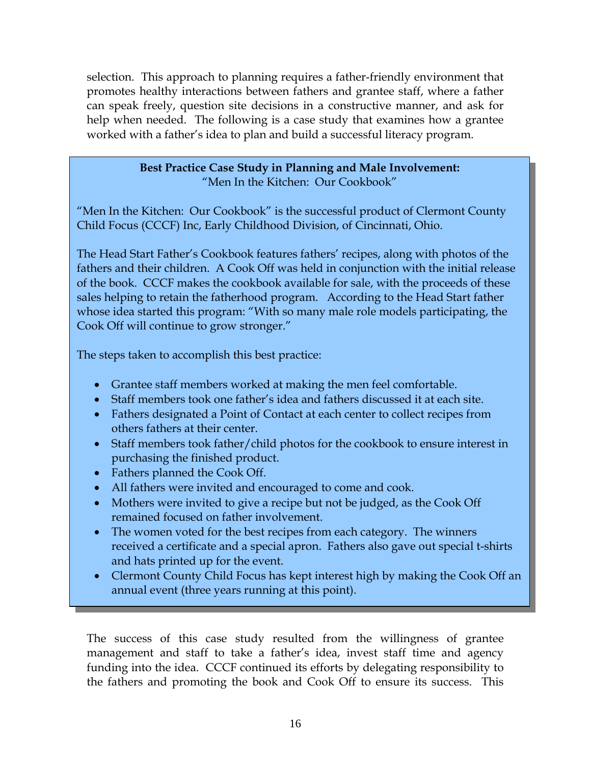selection. This approach to planning requires a father-friendly environment that promotes healthy interactions between fathers and grantee staff, where a father can speak freely, question site decisions in a constructive manner, and ask for help when needed. The following is a case study that examines how a grantee worked with a father's idea to plan and build a successful literacy program.

### **Best Practice Case Study in Planning and Male Involvement:**  "Men In the Kitchen: Our Cookbook"

"Men In the Kitchen: Our Cookbook" is the successful product of Clermont County Child Focus (CCCF) Inc, Early Childhood Division, of Cincinnati, Ohio.

The Head Start Father's Cookbook features fathers' recipes, along with photos of the fathers and their children. A Cook Off was held in conjunction with the initial release of the book. CCCF makes the cookbook available for sale, with the proceeds of these sales helping to retain the fatherhood program. According to the Head Start father whose idea started this program: "With so many male role models participating, the Cook Off will continue to grow stronger."

The steps taken to accomplish this best practice:

- Grantee staff members worked at making the men feel comfortable.
- Staff members took one father's idea and fathers discussed it at each site.
- Fathers designated a Point of Contact at each center to collect recipes from others fathers at their center.
- Staff members took father/child photos for the cookbook to ensure interest in purchasing the finished product.
- Fathers planned the Cook Off.
- All fathers were invited and encouraged to come and cook.
- Mothers were invited to give a recipe but not be judged, as the Cook Off remained focused on father involvement.
- The women voted for the best recipes from each category. The winners received a certificate and a special apron. Fathers also gave out special t-shirts and hats printed up for the event.
- Clermont County Child Focus has kept interest high by making the Cook Off an annual event (three years running at this point).

The success of this case study resulted from the willingness of grantee management and staff to take a father's idea, invest staff time and agency funding into the idea. CCCF continued its efforts by delegating responsibility to the fathers and promoting the book and Cook Off to ensure its success. This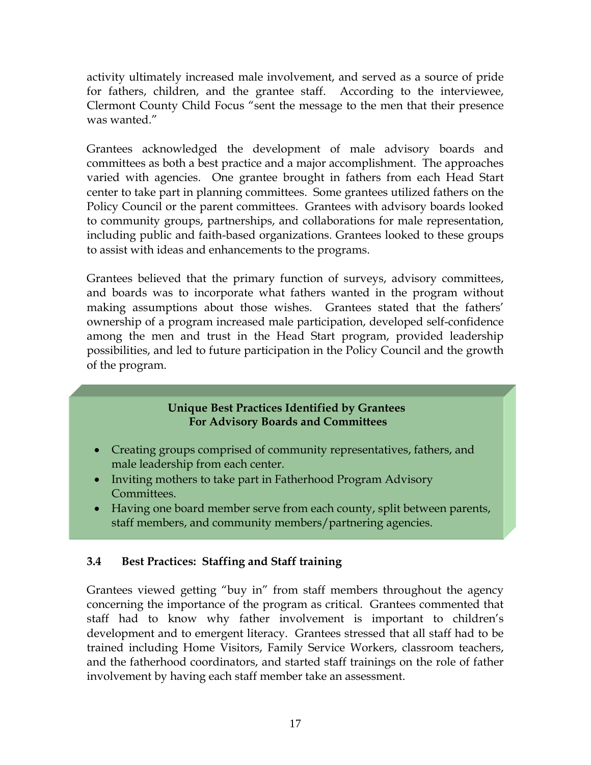activity ultimately increased male involvement, and served as a source of pride for fathers, children, and the grantee staff. According to the interviewee, Clermont County Child Focus "sent the message to the men that their presence was wanted."

Grantees acknowledged the development of male advisory boards and committees as both a best practice and a major accomplishment. The approaches varied with agencies. One grantee brought in fathers from each Head Start center to take part in planning committees. Some grantees utilized fathers on the Policy Council or the parent committees. Grantees with advisory boards looked to community groups, partnerships, and collaborations for male representation, including public and faith-based organizations. Grantees looked to these groups to assist with ideas and enhancements to the programs.

Grantees believed that the primary function of surveys, advisory committees, and boards was to incorporate what fathers wanted in the program without making assumptions about those wishes. Grantees stated that the fathers' ownership of a program increased male participation, developed self-confidence among the men and trust in the Head Start program, provided leadership possibilities, and led to future participation in the Policy Council and the growth of the program.

### **Unique Best Practices Identified by Grantees For Advisory Boards and Committees**

- Creating groups comprised of community representatives, fathers, and male leadership from each center.
- Inviting mothers to take part in Fatherhood Program Advisory Committees.
- Having one board member serve from each county, split between parents, staff members, and community members/partnering agencies.

## **3.4 Best Practices: Staffing and Staff training**

Grantees viewed getting "buy in" from staff members throughout the agency concerning the importance of the program as critical. Grantees commented that staff had to know why father involvement is important to children's development and to emergent literacy. Grantees stressed that all staff had to be trained including Home Visitors, Family Service Workers, classroom teachers, and the fatherhood coordinators, and started staff trainings on the role of father involvement by having each staff member take an assessment.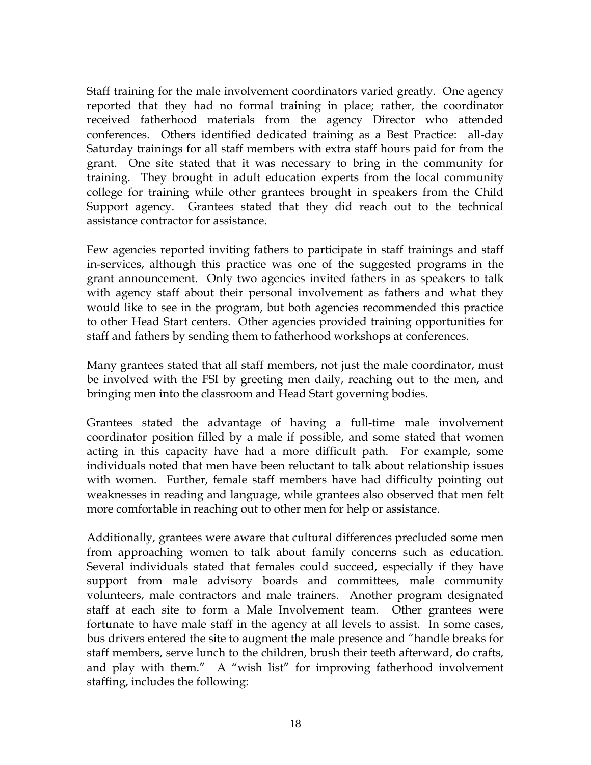Staff training for the male involvement coordinators varied greatly. One agency reported that they had no formal training in place; rather, the coordinator received fatherhood materials from the agency Director who attended conferences. Others identified dedicated training as a Best Practice: all-day Saturday trainings for all staff members with extra staff hours paid for from the grant. One site stated that it was necessary to bring in the community for training. They brought in adult education experts from the local community college for training while other grantees brought in speakers from the Child Support agency. Grantees stated that they did reach out to the technical assistance contractor for assistance.

Few agencies reported inviting fathers to participate in staff trainings and staff in-services, although this practice was one of the suggested programs in the grant announcement. Only two agencies invited fathers in as speakers to talk with agency staff about their personal involvement as fathers and what they would like to see in the program, but both agencies recommended this practice to other Head Start centers. Other agencies provided training opportunities for staff and fathers by sending them to fatherhood workshops at conferences.

Many grantees stated that all staff members, not just the male coordinator, must be involved with the FSI by greeting men daily, reaching out to the men, and bringing men into the classroom and Head Start governing bodies.

Grantees stated the advantage of having a full-time male involvement coordinator position filled by a male if possible, and some stated that women acting in this capacity have had a more difficult path. For example, some individuals noted that men have been reluctant to talk about relationship issues with women. Further, female staff members have had difficulty pointing out weaknesses in reading and language, while grantees also observed that men felt more comfortable in reaching out to other men for help or assistance.

Additionally, grantees were aware that cultural differences precluded some men from approaching women to talk about family concerns such as education. Several individuals stated that females could succeed, especially if they have support from male advisory boards and committees, male community volunteers, male contractors and male trainers. Another program designated staff at each site to form a Male Involvement team. Other grantees were fortunate to have male staff in the agency at all levels to assist. In some cases, bus drivers entered the site to augment the male presence and "handle breaks for staff members, serve lunch to the children, brush their teeth afterward, do crafts, and play with them." A "wish list" for improving fatherhood involvement staffing, includes the following: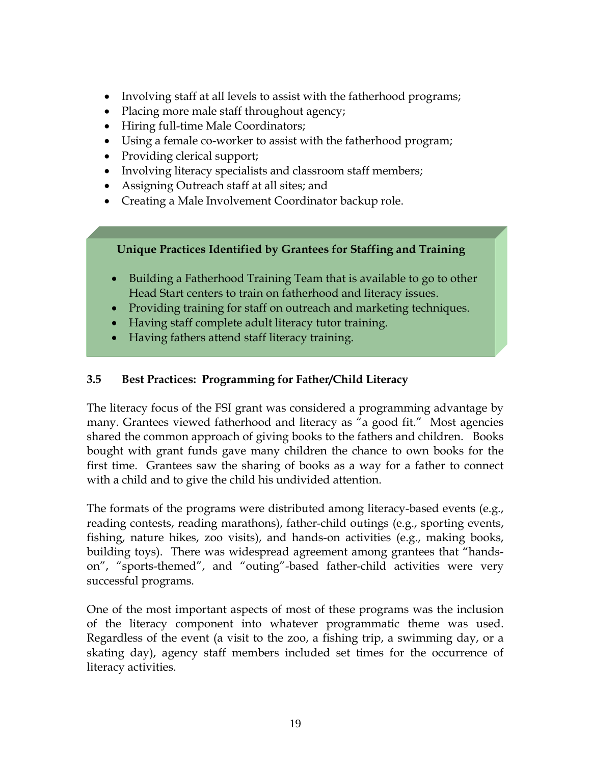- Involving staff at all levels to assist with the fatherhood programs;
- Placing more male staff throughout agency;
- Hiring full-time Male Coordinators;
- Using a female co-worker to assist with the fatherhood program;
- Providing clerical support;
- Involving literacy specialists and classroom staff members;
- Assigning Outreach staff at all sites; and
- Creating a Male Involvement Coordinator backup role.

## **Unique Practices Identified by Grantees for Staffing and Training**

- Building a Fatherhood Training Team that is available to go to other Head Start centers to train on fatherhood and literacy issues.
- Providing training for staff on outreach and marketing techniques.
- Having staff complete adult literacy tutor training.
- Having fathers attend staff literacy training.

## **3.5 Best Practices: Programming for Father/Child Literacy**

The literacy focus of the FSI grant was considered a programming advantage by many. Grantees viewed fatherhood and literacy as "a good fit." Most agencies shared the common approach of giving books to the fathers and children. Books bought with grant funds gave many children the chance to own books for the first time. Grantees saw the sharing of books as a way for a father to connect with a child and to give the child his undivided attention.

The formats of the programs were distributed among literacy-based events (e.g., reading contests, reading marathons), father-child outings (e.g., sporting events, fishing, nature hikes, zoo visits), and hands-on activities (e.g., making books, building toys). There was widespread agreement among grantees that "handson", "sports-themed", and "outing"-based father-child activities were very successful programs.

One of the most important aspects of most of these programs was the inclusion of the literacy component into whatever programmatic theme was used. Regardless of the event (a visit to the zoo, a fishing trip, a swimming day, or a skating day), agency staff members included set times for the occurrence of literacy activities.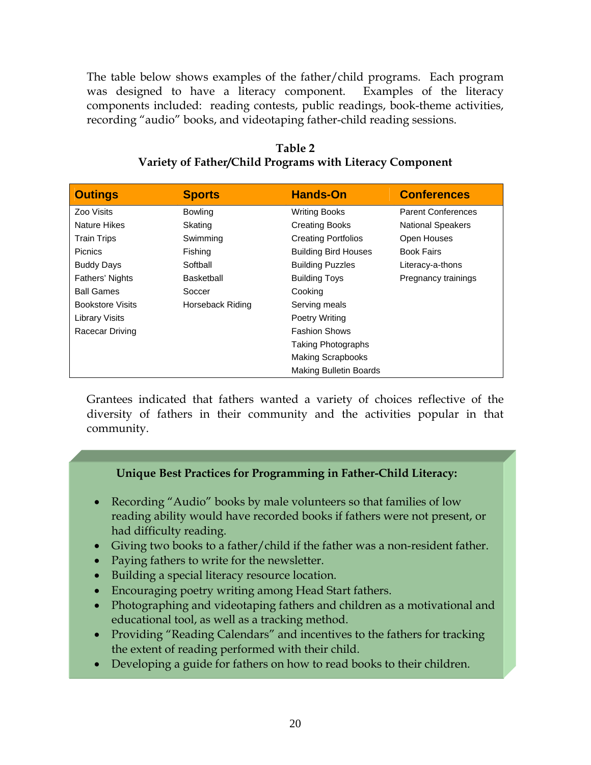The table below shows examples of the father/child programs. Each program was designed to have a literacy component. Examples of the literacy components included: reading contests, public readings, book-theme activities, recording "audio" books, and videotaping father-child reading sessions.

| Table 2                                                  |  |
|----------------------------------------------------------|--|
| Variety of Father/Child Programs with Literacy Component |  |

| <b>Outings</b>          | <b>Sports</b>    | <b>Hands-On</b>               | <b>Conferences</b>        |
|-------------------------|------------------|-------------------------------|---------------------------|
| Zoo Visits              | <b>Bowling</b>   | <b>Writing Books</b>          | <b>Parent Conferences</b> |
| <b>Nature Hikes</b>     | Skating          | <b>Creating Books</b>         | <b>National Speakers</b>  |
| <b>Train Trips</b>      | Swimming         | <b>Creating Portfolios</b>    | Open Houses               |
| <b>Picnics</b>          | Fishing          | <b>Building Bird Houses</b>   | <b>Book Fairs</b>         |
| <b>Buddy Days</b>       | Softball         | <b>Building Puzzles</b>       | Literacy-a-thons          |
| Fathers' Nights         | Basketball       | <b>Building Toys</b>          | Pregnancy trainings       |
| <b>Ball Games</b>       | Soccer           | Cooking                       |                           |
| <b>Bookstore Visits</b> | Horseback Riding | Serving meals                 |                           |
| <b>Library Visits</b>   |                  | Poetry Writing                |                           |
| Racecar Driving         |                  | <b>Fashion Shows</b>          |                           |
|                         |                  | <b>Taking Photographs</b>     |                           |
|                         |                  | <b>Making Scrapbooks</b>      |                           |
|                         |                  | <b>Making Bulletin Boards</b> |                           |

Grantees indicated that fathers wanted a variety of choices reflective of the diversity of fathers in their community and the activities popular in that community.

## **Unique Best Practices for Programming in Father-Child Literacy:**

- Recording "Audio" books by male volunteers so that families of low reading ability would have recorded books if fathers were not present, or had difficulty reading.
- Giving two books to a father/child if the father was a non-resident father.
- Paying fathers to write for the newsletter.
- Building a special literacy resource location.
- Encouraging poetry writing among Head Start fathers.
- Photographing and videotaping fathers and children as a motivational and educational tool, as well as a tracking method.
- Providing "Reading Calendars" and incentives to the fathers for tracking the extent of reading performed with their child.
- Developing a guide for fathers on how to read books to their children.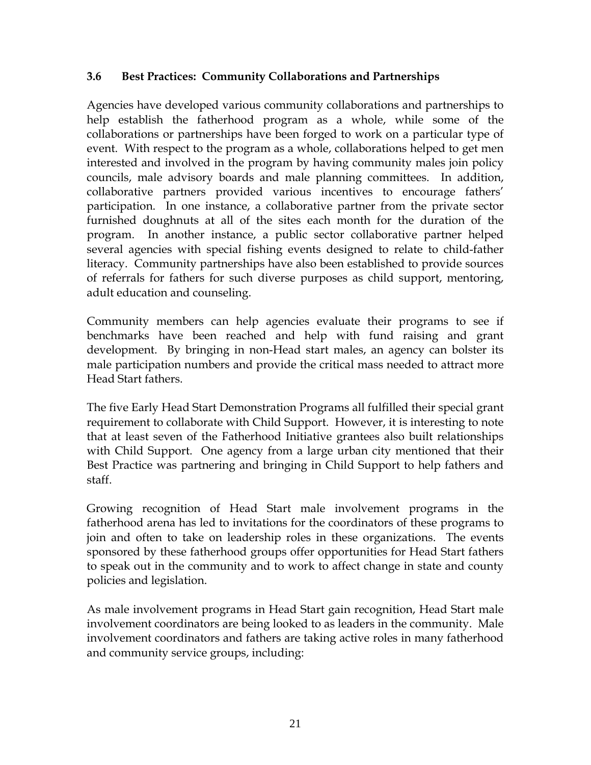## **3.6 Best Practices: Community Collaborations and Partnerships**

Agencies have developed various community collaborations and partnerships to help establish the fatherhood program as a whole, while some of the collaborations or partnerships have been forged to work on a particular type of event. With respect to the program as a whole, collaborations helped to get men interested and involved in the program by having community males join policy councils, male advisory boards and male planning committees. In addition, collaborative partners provided various incentives to encourage fathers' participation. In one instance, a collaborative partner from the private sector furnished doughnuts at all of the sites each month for the duration of the program. In another instance, a public sector collaborative partner helped several agencies with special fishing events designed to relate to child-father literacy. Community partnerships have also been established to provide sources of referrals for fathers for such diverse purposes as child support, mentoring, adult education and counseling.

Community members can help agencies evaluate their programs to see if benchmarks have been reached and help with fund raising and grant development. By bringing in non-Head start males, an agency can bolster its male participation numbers and provide the critical mass needed to attract more Head Start fathers.

The five Early Head Start Demonstration Programs all fulfilled their special grant requirement to collaborate with Child Support. However, it is interesting to note that at least seven of the Fatherhood Initiative grantees also built relationships with Child Support. One agency from a large urban city mentioned that their Best Practice was partnering and bringing in Child Support to help fathers and staff.

Growing recognition of Head Start male involvement programs in the fatherhood arena has led to invitations for the coordinators of these programs to join and often to take on leadership roles in these organizations. The events sponsored by these fatherhood groups offer opportunities for Head Start fathers to speak out in the community and to work to affect change in state and county policies and legislation.

As male involvement programs in Head Start gain recognition, Head Start male involvement coordinators are being looked to as leaders in the community. Male involvement coordinators and fathers are taking active roles in many fatherhood and community service groups, including: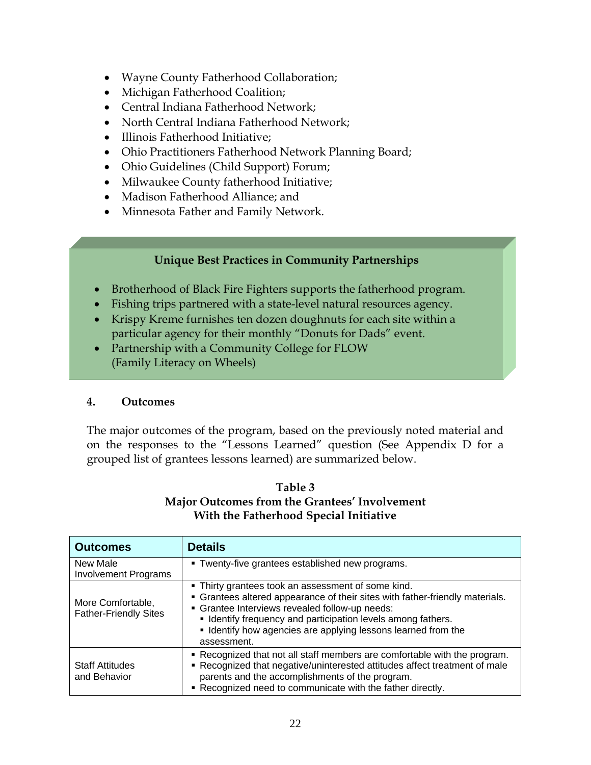- Wayne County Fatherhood Collaboration;
- Michigan Fatherhood Coalition;
- Central Indiana Fatherhood Network;
- North Central Indiana Fatherhood Network;
- Illinois Fatherhood Initiative;
- Ohio Practitioners Fatherhood Network Planning Board;
- Ohio Guidelines (Child Support) Forum;
- Milwaukee County fatherhood Initiative;
- Madison Fatherhood Alliance; and
- Minnesota Father and Family Network.

### **Unique Best Practices in Community Partnerships**

- Brotherhood of Black Fire Fighters supports the fatherhood program.
- Fishing trips partnered with a state-level natural resources agency.
- Krispy Kreme furnishes ten dozen doughnuts for each site within a particular agency for their monthly "Donuts for Dads" event.
- Partnership with a Community College for FLOW (Family Literacy on Wheels)

#### **4. Outcomes**

The major outcomes of the program, based on the previously noted material and on the responses to the "Lessons Learned" question (See Appendix D for a grouped list of grantees lessons learned) are summarized below.

#### **Table 3 Major Outcomes from the Grantees' Involvement With the Fatherhood Special Initiative**

| <b>Outcomes</b>                                   | <b>Details</b>                                                                                                                                                                                                                                                                                                                       |
|---------------------------------------------------|--------------------------------------------------------------------------------------------------------------------------------------------------------------------------------------------------------------------------------------------------------------------------------------------------------------------------------------|
| New Male<br><b>Involvement Programs</b>           | . Twenty-five grantees established new programs.                                                                                                                                                                                                                                                                                     |
| More Comfortable,<br><b>Father-Friendly Sites</b> | . Thirty grantees took an assessment of some kind.<br>• Grantees altered appearance of their sites with father-friendly materials.<br>• Grantee Interviews revealed follow-up needs:<br>• Identify frequency and participation levels among fathers.<br>• Identify how agencies are applying lessons learned from the<br>assessment. |
| <b>Staff Attitudes</b><br>and Behavior            | • Recognized that not all staff members are comfortable with the program.<br>• Recognized that negative/uninterested attitudes affect treatment of male<br>parents and the accomplishments of the program.<br>. Recognized need to communicate with the father directly.                                                             |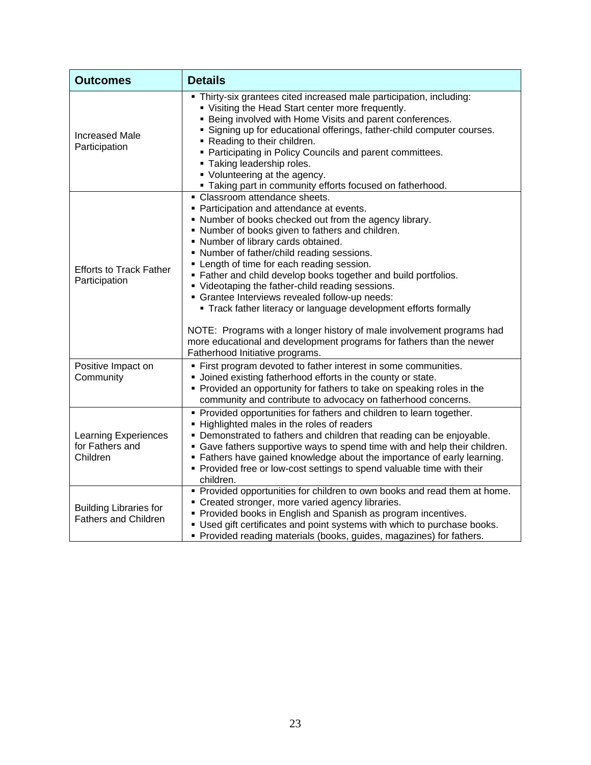| <b>Outcomes</b>                                              | <b>Details</b>                                                                                                                                                                                                                                                                                                                                                                                                                                                                                                                                                                                                                                                                                                                                                |
|--------------------------------------------------------------|---------------------------------------------------------------------------------------------------------------------------------------------------------------------------------------------------------------------------------------------------------------------------------------------------------------------------------------------------------------------------------------------------------------------------------------------------------------------------------------------------------------------------------------------------------------------------------------------------------------------------------------------------------------------------------------------------------------------------------------------------------------|
| <b>Increased Male</b><br>Participation                       | • Thirty-six grantees cited increased male participation, including:<br>• Visiting the Head Start center more frequently.<br><b>Being involved with Home Visits and parent conferences.</b><br>" Signing up for educational offerings, father-child computer courses.<br>• Reading to their children.<br>• Participating in Policy Councils and parent committees.<br>• Taking leadership roles.<br>• Volunteering at the agency.<br>" Taking part in community efforts focused on fatherhood.                                                                                                                                                                                                                                                                |
| <b>Efforts to Track Father</b><br>Participation              | • Classroom attendance sheets.<br>• Participation and attendance at events.<br>. Number of books checked out from the agency library.<br>. Number of books given to fathers and children.<br>• Number of library cards obtained.<br>. Number of father/child reading sessions.<br>• Length of time for each reading session.<br>. Father and child develop books together and build portfolios.<br>• Videotaping the father-child reading sessions.<br>· Grantee Interviews revealed follow-up needs:<br>• Track father literacy or language development efforts formally<br>NOTE: Programs with a longer history of male involvement programs had<br>more educational and development programs for fathers than the newer<br>Fatherhood Initiative programs. |
| Positive Impact on<br>Community                              | • First program devoted to father interest in some communities.<br>• Joined existing fatherhood efforts in the county or state.<br>• Provided an opportunity for fathers to take on speaking roles in the<br>community and contribute to advocacy on fatherhood concerns.                                                                                                                                                                                                                                                                                                                                                                                                                                                                                     |
| <b>Learning Experiences</b><br>for Fathers and<br>Children   | • Provided opportunities for fathers and children to learn together.<br>• Highlighted males in the roles of readers<br>• Demonstrated to fathers and children that reading can be enjoyable.<br>• Gave fathers supportive ways to spend time with and help their children.<br>" Fathers have gained knowledge about the importance of early learning.<br>• Provided free or low-cost settings to spend valuable time with their<br>children.                                                                                                                                                                                                                                                                                                                  |
| <b>Building Libraries for</b><br><b>Fathers and Children</b> | • Provided opportunities for children to own books and read them at home.<br>• Created stronger, more varied agency libraries.<br>• Provided books in English and Spanish as program incentives.<br>• Used gift certificates and point systems with which to purchase books.<br>• Provided reading materials (books, guides, magazines) for fathers.                                                                                                                                                                                                                                                                                                                                                                                                          |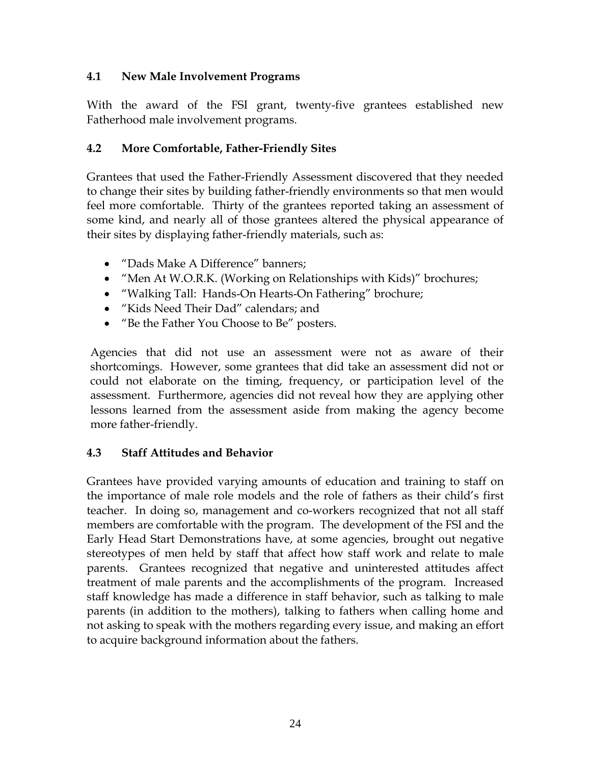### **4.1 New Male Involvement Programs**

With the award of the FSI grant, twenty-five grantees established new Fatherhood male involvement programs.

## **4.2 More Comfortable, Father-Friendly Sites**

Grantees that used the Father-Friendly Assessment discovered that they needed to change their sites by building father-friendly environments so that men would feel more comfortable. Thirty of the grantees reported taking an assessment of some kind, and nearly all of those grantees altered the physical appearance of their sites by displaying father-friendly materials, such as:

- "Dads Make A Difference" banners;
- "Men At W.O.R.K. (Working on Relationships with Kids)" brochures;
- "Walking Tall: Hands-On Hearts-On Fathering" brochure;
- "Kids Need Their Dad" calendars; and
- "Be the Father You Choose to Be" posters.

Agencies that did not use an assessment were not as aware of their shortcomings. However, some grantees that did take an assessment did not or could not elaborate on the timing, frequency, or participation level of the assessment. Furthermore, agencies did not reveal how they are applying other lessons learned from the assessment aside from making the agency become more father-friendly.

## **4.3 Staff Attitudes and Behavior**

Grantees have provided varying amounts of education and training to staff on the importance of male role models and the role of fathers as their child's first teacher. In doing so, management and co-workers recognized that not all staff members are comfortable with the program. The development of the FSI and the Early Head Start Demonstrations have, at some agencies, brought out negative stereotypes of men held by staff that affect how staff work and relate to male parents. Grantees recognized that negative and uninterested attitudes affect treatment of male parents and the accomplishments of the program. Increased staff knowledge has made a difference in staff behavior, such as talking to male parents (in addition to the mothers), talking to fathers when calling home and not asking to speak with the mothers regarding every issue, and making an effort to acquire background information about the fathers.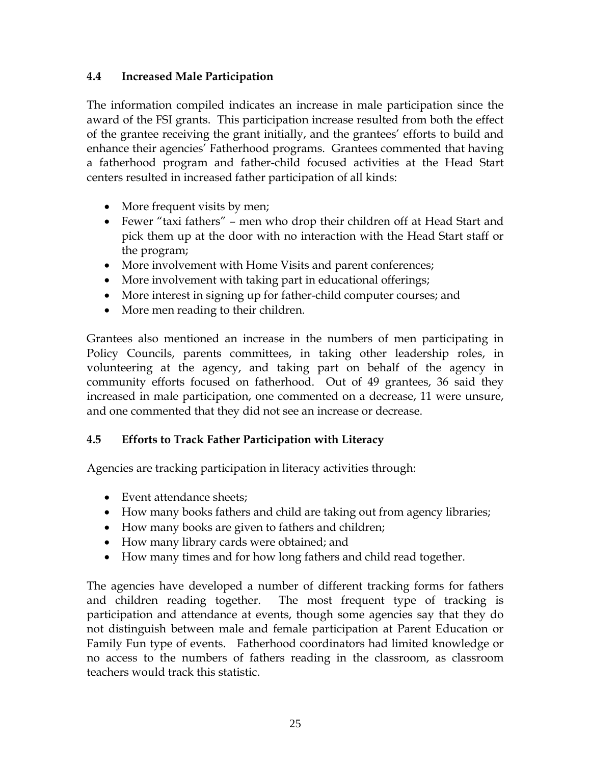## **4.4 Increased Male Participation**

The information compiled indicates an increase in male participation since the award of the FSI grants. This participation increase resulted from both the effect of the grantee receiving the grant initially, and the grantees' efforts to build and enhance their agencies' Fatherhood programs. Grantees commented that having a fatherhood program and father-child focused activities at the Head Start centers resulted in increased father participation of all kinds:

- More frequent visits by men;
- Fewer "taxi fathers" men who drop their children off at Head Start and pick them up at the door with no interaction with the Head Start staff or the program;
- More involvement with Home Visits and parent conferences;
- More involvement with taking part in educational offerings;
- More interest in signing up for father-child computer courses; and
- More men reading to their children.

Grantees also mentioned an increase in the numbers of men participating in Policy Councils, parents committees, in taking other leadership roles, in volunteering at the agency, and taking part on behalf of the agency in community efforts focused on fatherhood. Out of 49 grantees, 36 said they increased in male participation, one commented on a decrease, 11 were unsure, and one commented that they did not see an increase or decrease.

## **4.5 Efforts to Track Father Participation with Literacy**

Agencies are tracking participation in literacy activities through:

- Event attendance sheets:
- How many books fathers and child are taking out from agency libraries;
- How many books are given to fathers and children;
- How many library cards were obtained; and
- How many times and for how long fathers and child read together.

The agencies have developed a number of different tracking forms for fathers and children reading together. The most frequent type of tracking is participation and attendance at events, though some agencies say that they do not distinguish between male and female participation at Parent Education or Family Fun type of events. Fatherhood coordinators had limited knowledge or no access to the numbers of fathers reading in the classroom, as classroom teachers would track this statistic.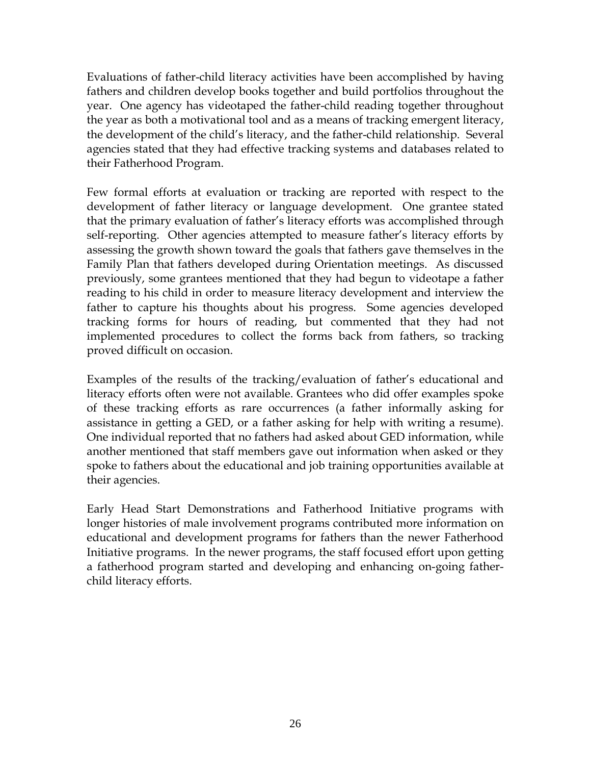Evaluations of father-child literacy activities have been accomplished by having fathers and children develop books together and build portfolios throughout the year. One agency has videotaped the father-child reading together throughout the year as both a motivational tool and as a means of tracking emergent literacy, the development of the child's literacy, and the father-child relationship. Several agencies stated that they had effective tracking systems and databases related to their Fatherhood Program.

Few formal efforts at evaluation or tracking are reported with respect to the development of father literacy or language development. One grantee stated that the primary evaluation of father's literacy efforts was accomplished through self-reporting. Other agencies attempted to measure father's literacy efforts by assessing the growth shown toward the goals that fathers gave themselves in the Family Plan that fathers developed during Orientation meetings. As discussed previously, some grantees mentioned that they had begun to videotape a father reading to his child in order to measure literacy development and interview the father to capture his thoughts about his progress. Some agencies developed tracking forms for hours of reading, but commented that they had not implemented procedures to collect the forms back from fathers, so tracking proved difficult on occasion.

Examples of the results of the tracking/evaluation of father's educational and literacy efforts often were not available. Grantees who did offer examples spoke of these tracking efforts as rare occurrences (a father informally asking for assistance in getting a GED, or a father asking for help with writing a resume). One individual reported that no fathers had asked about GED information, while another mentioned that staff members gave out information when asked or they spoke to fathers about the educational and job training opportunities available at their agencies.

Early Head Start Demonstrations and Fatherhood Initiative programs with longer histories of male involvement programs contributed more information on educational and development programs for fathers than the newer Fatherhood Initiative programs. In the newer programs, the staff focused effort upon getting a fatherhood program started and developing and enhancing on-going fatherchild literacy efforts.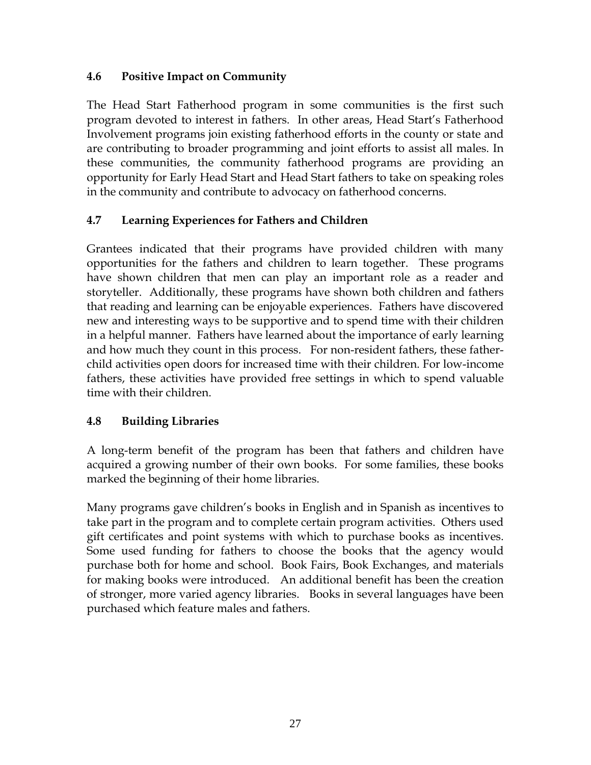## **4.6 Positive Impact on Community**

The Head Start Fatherhood program in some communities is the first such program devoted to interest in fathers. In other areas, Head Start's Fatherhood Involvement programs join existing fatherhood efforts in the county or state and are contributing to broader programming and joint efforts to assist all males. In these communities, the community fatherhood programs are providing an opportunity for Early Head Start and Head Start fathers to take on speaking roles in the community and contribute to advocacy on fatherhood concerns.

## **4.7 Learning Experiences for Fathers and Children**

Grantees indicated that their programs have provided children with many opportunities for the fathers and children to learn together. These programs have shown children that men can play an important role as a reader and storyteller. Additionally, these programs have shown both children and fathers that reading and learning can be enjoyable experiences. Fathers have discovered new and interesting ways to be supportive and to spend time with their children in a helpful manner. Fathers have learned about the importance of early learning and how much they count in this process. For non-resident fathers, these fatherchild activities open doors for increased time with their children. For low-income fathers, these activities have provided free settings in which to spend valuable time with their children.

## **4.8 Building Libraries**

A long-term benefit of the program has been that fathers and children have acquired a growing number of their own books. For some families, these books marked the beginning of their home libraries.

Many programs gave children's books in English and in Spanish as incentives to take part in the program and to complete certain program activities. Others used gift certificates and point systems with which to purchase books as incentives. Some used funding for fathers to choose the books that the agency would purchase both for home and school. Book Fairs, Book Exchanges, and materials for making books were introduced. An additional benefit has been the creation of stronger, more varied agency libraries. Books in several languages have been purchased which feature males and fathers.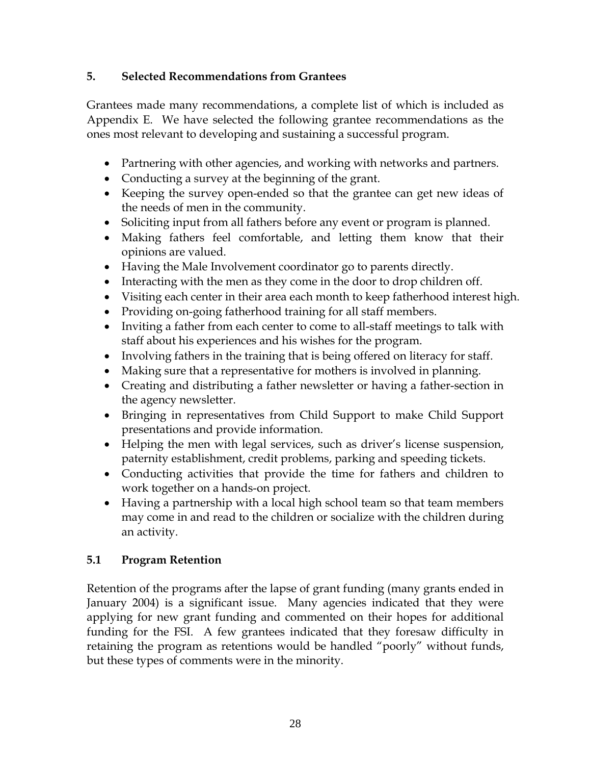## **5. Selected Recommendations from Grantees**

Grantees made many recommendations, a complete list of which is included as Appendix E. We have selected the following grantee recommendations as the ones most relevant to developing and sustaining a successful program.

- Partnering with other agencies, and working with networks and partners.
- Conducting a survey at the beginning of the grant.
- Keeping the survey open-ended so that the grantee can get new ideas of the needs of men in the community.
- Soliciting input from all fathers before any event or program is planned.
- Making fathers feel comfortable, and letting them know that their opinions are valued.
- Having the Male Involvement coordinator go to parents directly.
- Interacting with the men as they come in the door to drop children off.
- Visiting each center in their area each month to keep fatherhood interest high.
- Providing on-going fatherhood training for all staff members.
- Inviting a father from each center to come to all-staff meetings to talk with staff about his experiences and his wishes for the program.
- Involving fathers in the training that is being offered on literacy for staff.
- Making sure that a representative for mothers is involved in planning.
- Creating and distributing a father newsletter or having a father-section in the agency newsletter.
- Bringing in representatives from Child Support to make Child Support presentations and provide information.
- Helping the men with legal services, such as driver's license suspension, paternity establishment, credit problems, parking and speeding tickets.
- Conducting activities that provide the time for fathers and children to work together on a hands-on project.
- Having a partnership with a local high school team so that team members may come in and read to the children or socialize with the children during an activity.

## **5.1 Program Retention**

Retention of the programs after the lapse of grant funding (many grants ended in January 2004) is a significant issue. Many agencies indicated that they were applying for new grant funding and commented on their hopes for additional funding for the FSI. A few grantees indicated that they foresaw difficulty in retaining the program as retentions would be handled "poorly" without funds, but these types of comments were in the minority.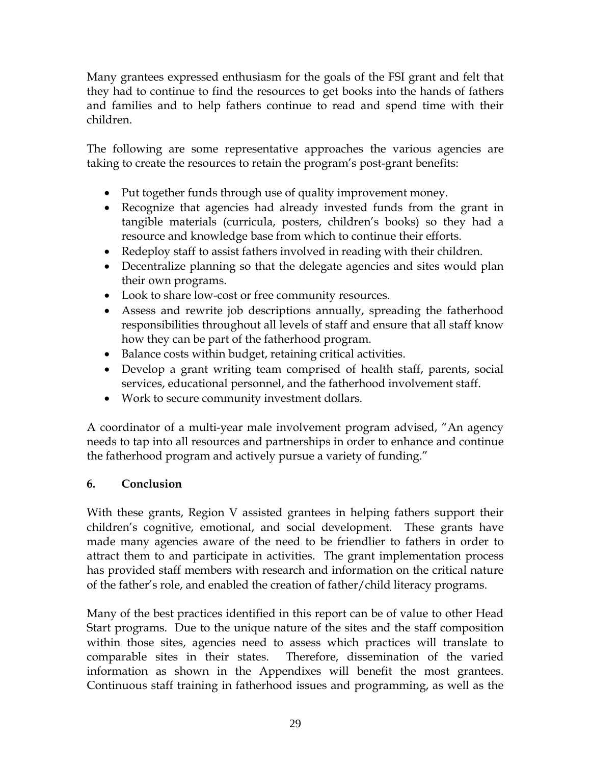Many grantees expressed enthusiasm for the goals of the FSI grant and felt that they had to continue to find the resources to get books into the hands of fathers and families and to help fathers continue to read and spend time with their children.

The following are some representative approaches the various agencies are taking to create the resources to retain the program's post-grant benefits:

- Put together funds through use of quality improvement money.
- Recognize that agencies had already invested funds from the grant in tangible materials (curricula, posters, children's books) so they had a resource and knowledge base from which to continue their efforts.
- Redeploy staff to assist fathers involved in reading with their children.
- Decentralize planning so that the delegate agencies and sites would plan their own programs.
- Look to share low-cost or free community resources.
- Assess and rewrite job descriptions annually, spreading the fatherhood responsibilities throughout all levels of staff and ensure that all staff know how they can be part of the fatherhood program.
- Balance costs within budget, retaining critical activities.
- Develop a grant writing team comprised of health staff, parents, social services, educational personnel, and the fatherhood involvement staff.
- Work to secure community investment dollars.

A coordinator of a multi-year male involvement program advised, "An agency needs to tap into all resources and partnerships in order to enhance and continue the fatherhood program and actively pursue a variety of funding."

## **6. Conclusion**

With these grants, Region V assisted grantees in helping fathers support their children's cognitive, emotional, and social development. These grants have made many agencies aware of the need to be friendlier to fathers in order to attract them to and participate in activities. The grant implementation process has provided staff members with research and information on the critical nature of the father's role, and enabled the creation of father/child literacy programs.

Many of the best practices identified in this report can be of value to other Head Start programs. Due to the unique nature of the sites and the staff composition within those sites, agencies need to assess which practices will translate to comparable sites in their states. Therefore, dissemination of the varied information as shown in the Appendixes will benefit the most grantees. Continuous staff training in fatherhood issues and programming, as well as the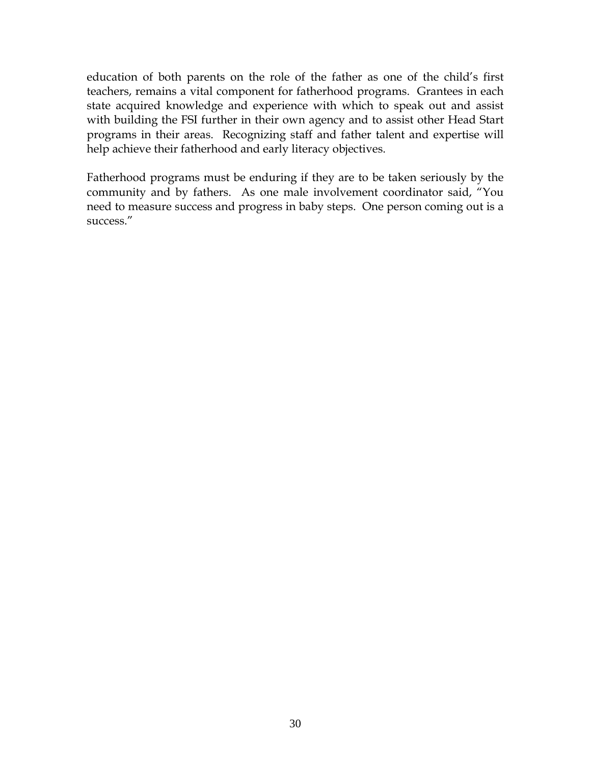education of both parents on the role of the father as one of the child's first teachers, remains a vital component for fatherhood programs. Grantees in each state acquired knowledge and experience with which to speak out and assist with building the FSI further in their own agency and to assist other Head Start programs in their areas. Recognizing staff and father talent and expertise will help achieve their fatherhood and early literacy objectives.

Fatherhood programs must be enduring if they are to be taken seriously by the community and by fathers. As one male involvement coordinator said, "You need to measure success and progress in baby steps. One person coming out is a success."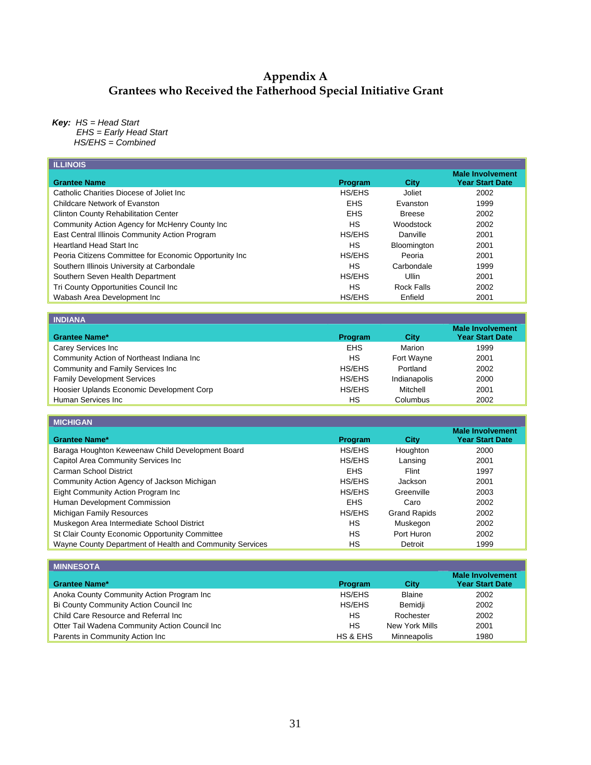#### **Appendix A Grantees who Received the Fatherhood Special Initiative Grant**

*Key: HS = Head Start* 

 *EHS = Early Head Start* 

*HS/EHS = Combined* 

| <b>ILLINOIS</b>                                        |            |                   |                                                   |
|--------------------------------------------------------|------------|-------------------|---------------------------------------------------|
| <b>Grantee Name</b>                                    | Program    | City              | <b>Male Involvement</b><br><b>Year Start Date</b> |
| Catholic Charities Diocese of Joliet Inc.              | HS/EHS     | Joliet            | 2002                                              |
| Childcare Network of Evanston                          | <b>EHS</b> | Evanston          | 1999                                              |
| <b>Clinton County Rehabilitation Center</b>            | <b>EHS</b> | <b>Breese</b>     | 2002                                              |
| Community Action Agency for McHenry County Inc         | HS.        | Woodstock         | 2002                                              |
| East Central Illinois Community Action Program         | HS/EHS     | Danville          | 2001                                              |
| Heartland Head Start Inc.                              | HS         | Bloomington       | 2001                                              |
| Peoria Citizens Committee for Economic Opportunity Inc | HS/EHS     | Peoria            | 2001                                              |
| Southern Illinois University at Carbondale             | <b>HS</b>  | Carbondale        | 1999                                              |
| Southern Seven Health Department                       | HS/EHS     | Ullin             | 2001                                              |
| Tri County Opportunities Council Inc                   | HS         | <b>Rock Falls</b> | 2002                                              |
| Wabash Area Development Inc                            | HS/EHS     | Enfield           | 2001                                              |
|                                                        |            |                   |                                                   |
| <b>INDIANA</b>                                         |            |                   |                                                   |
|                                                        |            |                   | <b>Male Involvement</b>                           |

| <b>Grantee Name*</b>                      | Program    | City         | <b>Male Involvement</b><br><b>Year Start Date</b> |
|-------------------------------------------|------------|--------------|---------------------------------------------------|
| Carey Services Inc                        | <b>EHS</b> | Marion       | 1999                                              |
| Community Action of Northeast Indiana Inc | HS         | Fort Wayne   | 2001                                              |
| Community and Family Services Inc         | HS/EHS     | Portland     | 2002                                              |
| <b>Family Development Services</b>        | HS/EHS     | Indianapolis | 2000                                              |
| Hoosier Uplands Economic Development Corp | HS/EHS     | Mitchell     | 2001                                              |
| Human Services Inc                        | НS         | Columbus     | 2002                                              |

| <b>MICHIGAN</b>                                          |                |                     |                                                   |
|----------------------------------------------------------|----------------|---------------------|---------------------------------------------------|
| <b>Grantee Name*</b>                                     | <b>Program</b> | City                | <b>Male Involvement</b><br><b>Year Start Date</b> |
| Baraga Houghton Keweenaw Child Development Board         | HS/EHS         | Houghton            | 2000                                              |
| Capitol Area Community Services Inc                      | HS/EHS         | Lansing             | 2001                                              |
| Carman School District                                   | <b>EHS</b>     | Flint               | 1997                                              |
| Community Action Agency of Jackson Michigan              | HS/EHS         | Jackson             | 2001                                              |
| Eight Community Action Program Inc                       | <b>HS/EHS</b>  | Greenville          | 2003                                              |
| Human Development Commission                             | <b>EHS</b>     | Caro                | 2002                                              |
| Michigan Family Resources                                | HS/EHS         | <b>Grand Rapids</b> | 2002                                              |
| Muskegon Area Intermediate School District               | HS             | Muskegon            | 2002                                              |
| St Clair County Economic Opportunity Committee           | НS             | Port Huron          | 2002                                              |
| Wayne County Department of Health and Community Services | НS             | Detroit             | 1999                                              |

| <b>MINNESOTA</b>                               |                     |                |                                                   |
|------------------------------------------------|---------------------|----------------|---------------------------------------------------|
| <b>Grantee Name*</b>                           | Program             | City           | <b>Male Involvement</b><br><b>Year Start Date</b> |
| Anoka County Community Action Program Inc      | HS/EHS              | <b>Blaine</b>  | 2002                                              |
| Bi County Community Action Council Inc         | HS/EHS              | Bemidii        | 2002                                              |
| Child Care Resource and Referral Inc           | HS                  | Rochester      | 2002                                              |
| Otter Tail Wadena Community Action Council Inc | HS                  | New York Mills | 2001                                              |
| Parents in Community Action Inc                | <b>HS &amp; EHS</b> | Minneapolis    | 1980                                              |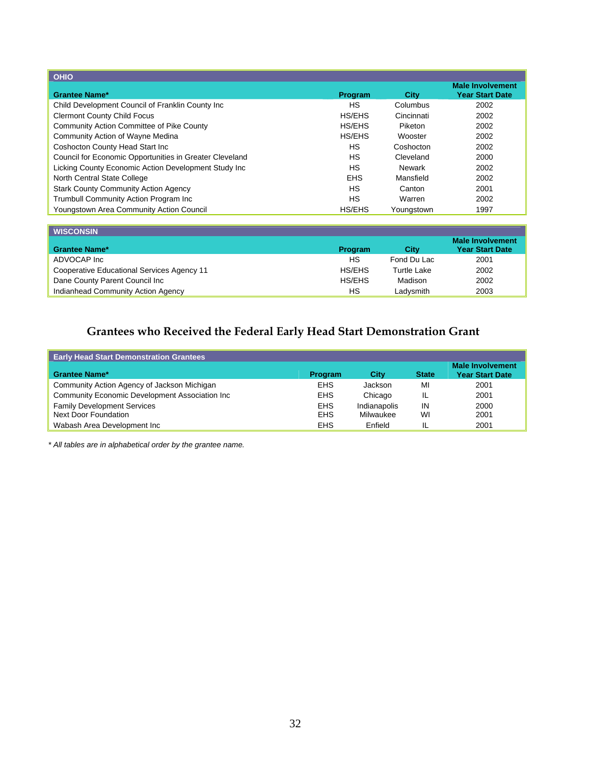| <b>OHIO</b>                                             |            |            |                                                   |
|---------------------------------------------------------|------------|------------|---------------------------------------------------|
| <b>Grantee Name*</b>                                    | Program    | City       | <b>Male Involvement</b><br><b>Year Start Date</b> |
| Child Development Council of Franklin County Inc        | HS.        | Columbus   | 2002                                              |
| <b>Clermont County Child Focus</b>                      | HS/EHS     | Cincinnati | 2002                                              |
| <b>Community Action Committee of Pike County</b>        | HS/EHS     | Piketon    | 2002                                              |
| Community Action of Wayne Medina                        | HS/EHS     | Wooster    | 2002                                              |
| Coshocton County Head Start Inc                         | HS.        | Coshocton  | 2002                                              |
| Council for Economic Opportunities in Greater Cleveland | <b>HS</b>  | Cleveland  | 2000                                              |
| Licking County Economic Action Development Study Inc    | HS         | Newark     | 2002                                              |
| North Central State College                             | <b>EHS</b> | Mansfield  | 2002                                              |
| <b>Stark County Community Action Agency</b>             | HS         | Canton     | 2001                                              |
| Trumbull Community Action Program Inc                   | HS         | Warren     | 2002                                              |
| Youngstown Area Community Action Council                | HS/EHS     | Youngstown | 1997                                              |

| <b>WISCONSIN</b>                           |         |                    |                                                   |
|--------------------------------------------|---------|--------------------|---------------------------------------------------|
| <b>Grantee Name*</b>                       | Program | City               | <b>Male Involvement</b><br><b>Year Start Date</b> |
| ADVOCAP Inc                                | HS      | Fond Du Lac        | 2001                                              |
| Cooperative Educational Services Agency 11 | HS/EHS  | <b>Turtle Lake</b> | 2002                                              |
| Dane County Parent Council Inc             | HS/EHS  | Madison            | 2002                                              |
| Indianhead Community Action Agency         | НS      | Ladysmith          | 2003                                              |

## **Grantees who Received the Federal Early Head Start Demonstration Grant**

| <b>Early Head Start Demonstration Grantees</b> |            |              |              |                                                   |
|------------------------------------------------|------------|--------------|--------------|---------------------------------------------------|
| <b>Grantee Name*</b>                           | Program    | City         | <b>State</b> | <b>Male Involvement</b><br><b>Year Start Date</b> |
| Community Action Agency of Jackson Michigan    | <b>EHS</b> | Jackson      | MI           | 2001                                              |
| Community Economic Development Association Inc | <b>EHS</b> | Chicago      | ΙL           | 2001                                              |
| <b>Family Development Services</b>             | <b>EHS</b> | Indianapolis | IN           | 2000                                              |
| Next Door Foundation                           | <b>EHS</b> | Milwaukee    | WI           | 2001                                              |
| Wabash Area Development Inc                    | <b>EHS</b> | Enfield      | IL           | 2001                                              |

*\* All tables are in alphabetical order by the grantee name.*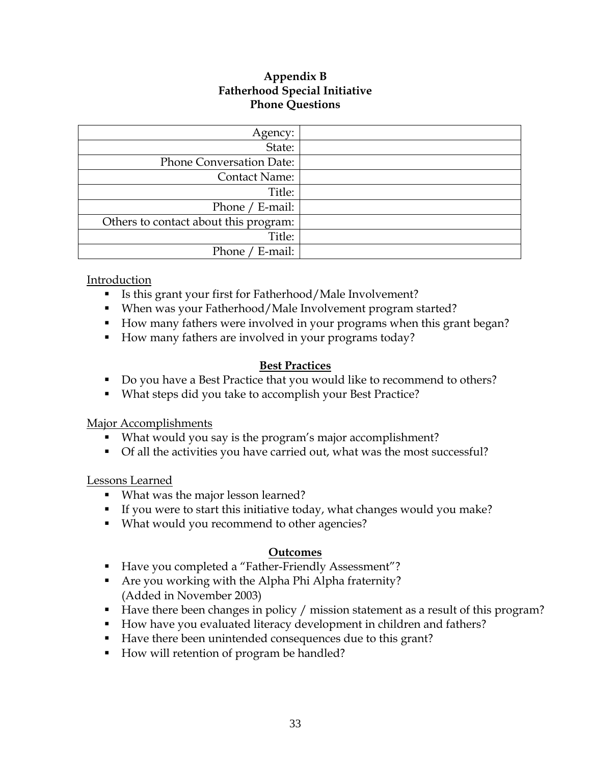### **Appendix B Fatherhood Special Initiative Phone Questions**

| Agency:                               |  |
|---------------------------------------|--|
| State:                                |  |
| <b>Phone Conversation Date:</b>       |  |
| <b>Contact Name:</b>                  |  |
| Title:                                |  |
| Phone / E-mail:                       |  |
| Others to contact about this program: |  |
| Title:                                |  |
| Phone /<br>' E-mail:                  |  |

Introduction

- Is this grant your first for Fatherhood/Male Involvement?
- When was your Fatherhood/Male Involvement program started?
- How many fathers were involved in your programs when this grant began?
- How many fathers are involved in your programs today?

### **Best Practices**

- Do you have a Best Practice that you would like to recommend to others?
- What steps did you take to accomplish your Best Practice?

#### Major Accomplishments

- What would you say is the program's major accomplishment?
- Of all the activities you have carried out, what was the most successful?

#### Lessons Learned

- What was the major lesson learned?
- If you were to start this initiative today, what changes would you make?
- **What would you recommend to other agencies?**

#### **Outcomes**

- Have you completed a "Father-Friendly Assessment"?
- Are you working with the Alpha Phi Alpha fraternity? (Added in November 2003)
- Have there been changes in policy / mission statement as a result of this program?
- How have you evaluated literacy development in children and fathers?
- Have there been unintended consequences due to this grant?
- How will retention of program be handled?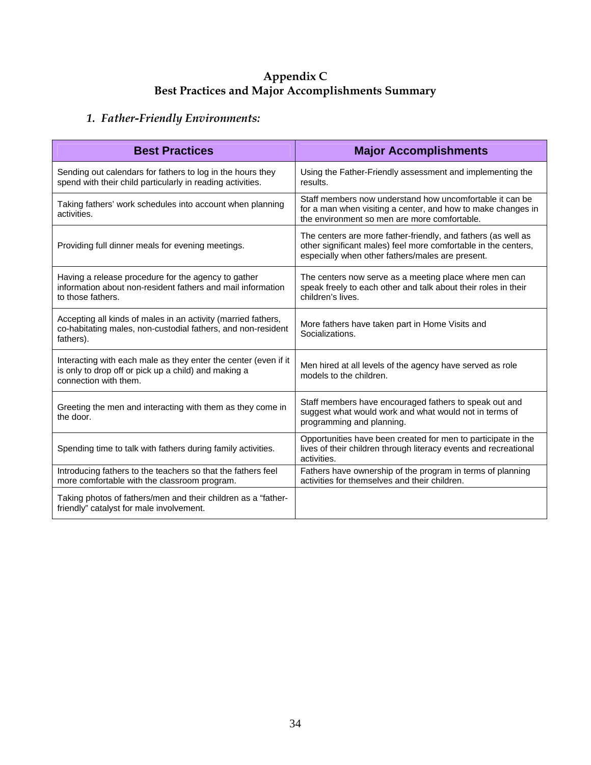### **Appendix C Best Practices and Major Accomplishments Summary**

## *1. Father-Friendly Environments:*

| <b>Best Practices</b>                                                                                                                            | <b>Major Accomplishments</b>                                                                                                                                                        |
|--------------------------------------------------------------------------------------------------------------------------------------------------|-------------------------------------------------------------------------------------------------------------------------------------------------------------------------------------|
| Sending out calendars for fathers to log in the hours they<br>spend with their child particularly in reading activities.                         | Using the Father-Friendly assessment and implementing the<br>results.                                                                                                               |
| Taking fathers' work schedules into account when planning<br>activities.                                                                         | Staff members now understand how uncomfortable it can be<br>for a man when visiting a center, and how to make changes in<br>the environment so men are more comfortable.            |
| Providing full dinner meals for evening meetings.                                                                                                | The centers are more father-friendly, and fathers (as well as<br>other significant males) feel more comfortable in the centers,<br>especially when other fathers/males are present. |
| Having a release procedure for the agency to gather<br>information about non-resident fathers and mail information<br>to those fathers.          | The centers now serve as a meeting place where men can<br>speak freely to each other and talk about their roles in their<br>children's lives.                                       |
| Accepting all kinds of males in an activity (married fathers,<br>co-habitating males, non-custodial fathers, and non-resident<br>fathers).       | More fathers have taken part in Home Visits and<br>Socializations.                                                                                                                  |
| Interacting with each male as they enter the center (even if it<br>is only to drop off or pick up a child) and making a<br>connection with them. | Men hired at all levels of the agency have served as role<br>models to the children.                                                                                                |
| Greeting the men and interacting with them as they come in<br>the door.                                                                          | Staff members have encouraged fathers to speak out and<br>suggest what would work and what would not in terms of<br>programming and planning.                                       |
| Spending time to talk with fathers during family activities.                                                                                     | Opportunities have been created for men to participate in the<br>lives of their children through literacy events and recreational<br>activities.                                    |
| Introducing fathers to the teachers so that the fathers feel<br>more comfortable with the classroom program.                                     | Fathers have ownership of the program in terms of planning<br>activities for themselves and their children.                                                                         |
| Taking photos of fathers/men and their children as a "father-<br>friendly" catalyst for male involvement.                                        |                                                                                                                                                                                     |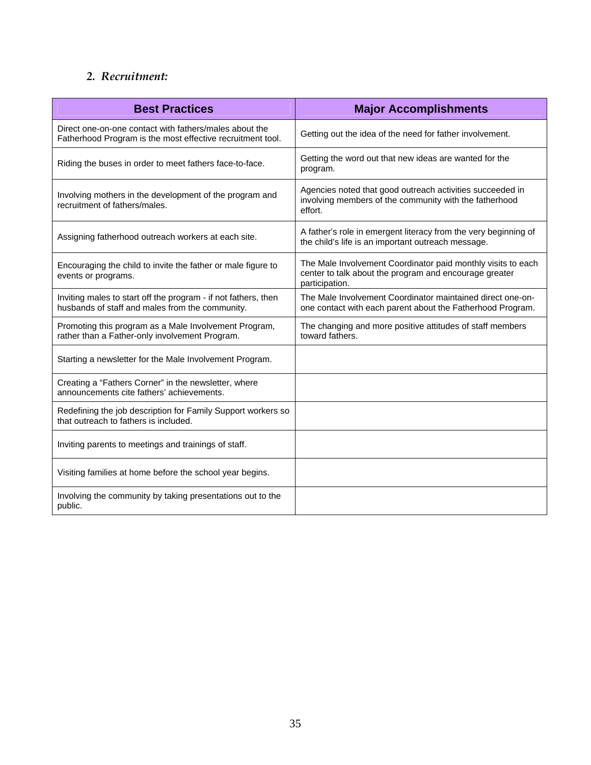## *2. Recruitment:*

| <b>Best Practices</b>                                                                                                | <b>Major Accomplishments</b>                                                                                                             |
|----------------------------------------------------------------------------------------------------------------------|------------------------------------------------------------------------------------------------------------------------------------------|
| Direct one-on-one contact with fathers/males about the<br>Fatherhood Program is the most effective recruitment tool. | Getting out the idea of the need for father involvement.                                                                                 |
| Riding the buses in order to meet fathers face-to-face.                                                              | Getting the word out that new ideas are wanted for the<br>program.                                                                       |
| Involving mothers in the development of the program and<br>recruitment of fathers/males.                             | Agencies noted that good outreach activities succeeded in<br>involving members of the community with the fatherhood<br>effort.           |
| Assigning fatherhood outreach workers at each site.                                                                  | A father's role in emergent literacy from the very beginning of<br>the child's life is an important outreach message.                    |
| Encouraging the child to invite the father or male figure to<br>events or programs.                                  | The Male Involvement Coordinator paid monthly visits to each<br>center to talk about the program and encourage greater<br>participation. |
| Inviting males to start off the program - if not fathers, then<br>husbands of staff and males from the community.    | The Male Involvement Coordinator maintained direct one-on-<br>one contact with each parent about the Fatherhood Program.                 |
| Promoting this program as a Male Involvement Program,<br>rather than a Father-only involvement Program.              | The changing and more positive attitudes of staff members<br>toward fathers.                                                             |
| Starting a newsletter for the Male Involvement Program.                                                              |                                                                                                                                          |
| Creating a "Fathers Corner" in the newsletter, where<br>announcements cite fathers' achievements.                    |                                                                                                                                          |
| Redefining the job description for Family Support workers so<br>that outreach to fathers is included.                |                                                                                                                                          |
| Inviting parents to meetings and trainings of staff.                                                                 |                                                                                                                                          |
| Visiting families at home before the school year begins.                                                             |                                                                                                                                          |
| Involving the community by taking presentations out to the<br>public.                                                |                                                                                                                                          |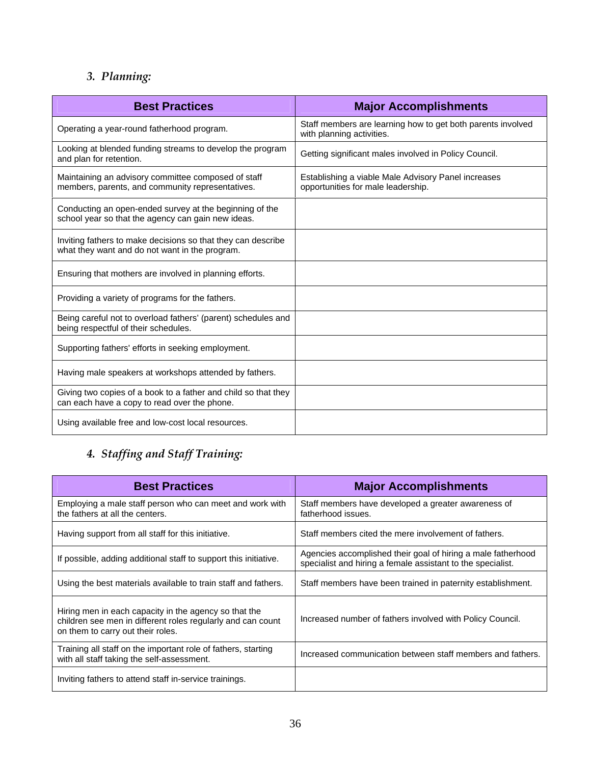## *3. Planning:*

| <b>Best Practices</b>                                                                                          | <b>Major Accomplishments</b>                                                              |
|----------------------------------------------------------------------------------------------------------------|-------------------------------------------------------------------------------------------|
| Operating a year-round fatherhood program.                                                                     | Staff members are learning how to get both parents involved<br>with planning activities.  |
| Looking at blended funding streams to develop the program<br>and plan for retention.                           | Getting significant males involved in Policy Council.                                     |
| Maintaining an advisory committee composed of staff<br>members, parents, and community representatives.        | Establishing a viable Male Advisory Panel increases<br>opportunities for male leadership. |
| Conducting an open-ended survey at the beginning of the<br>school year so that the agency can gain new ideas.  |                                                                                           |
| Inviting fathers to make decisions so that they can describe<br>what they want and do not want in the program. |                                                                                           |
| Ensuring that mothers are involved in planning efforts.                                                        |                                                                                           |
| Providing a variety of programs for the fathers.                                                               |                                                                                           |
| Being careful not to overload fathers' (parent) schedules and<br>being respectful of their schedules.          |                                                                                           |
| Supporting fathers' efforts in seeking employment.                                                             |                                                                                           |
| Having male speakers at workshops attended by fathers.                                                         |                                                                                           |
| Giving two copies of a book to a father and child so that they<br>can each have a copy to read over the phone. |                                                                                           |
| Using available free and low-cost local resources.                                                             |                                                                                           |

## *4. Staffing and Staff Training:*

| <b>Best Practices</b>                                                                                                                                     | <b>Major Accomplishments</b>                                                                                                |
|-----------------------------------------------------------------------------------------------------------------------------------------------------------|-----------------------------------------------------------------------------------------------------------------------------|
| Employing a male staff person who can meet and work with<br>the fathers at all the centers.                                                               | Staff members have developed a greater awareness of<br>fatherhood issues.                                                   |
| Having support from all staff for this initiative.                                                                                                        | Staff members cited the mere involvement of fathers.                                                                        |
| If possible, adding additional staff to support this initiative.                                                                                          | Agencies accomplished their goal of hiring a male fatherhood<br>specialist and hiring a female assistant to the specialist. |
| Using the best materials available to train staff and fathers.                                                                                            | Staff members have been trained in paternity establishment.                                                                 |
| Hiring men in each capacity in the agency so that the<br>children see men in different roles regularly and can count<br>on them to carry out their roles. | Increased number of fathers involved with Policy Council.                                                                   |
| Training all staff on the important role of fathers, starting<br>with all staff taking the self-assessment.                                               | Increased communication between staff members and fathers.                                                                  |
| Inviting fathers to attend staff in-service trainings.                                                                                                    |                                                                                                                             |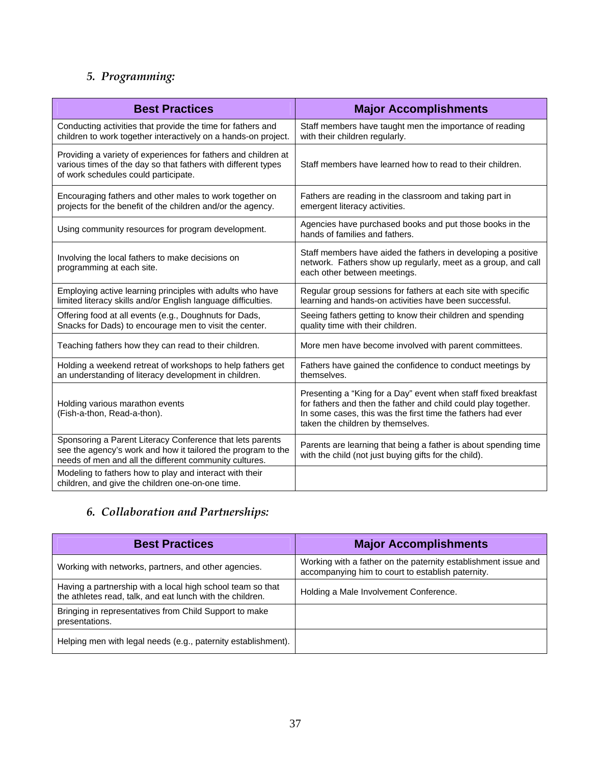## *5. Programming:*

| <b>Best Practices</b>                                                                                                                                                               | <b>Major Accomplishments</b>                                                                                                                                                                                                         |
|-------------------------------------------------------------------------------------------------------------------------------------------------------------------------------------|--------------------------------------------------------------------------------------------------------------------------------------------------------------------------------------------------------------------------------------|
| Conducting activities that provide the time for fathers and<br>children to work together interactively on a hands-on project.                                                       | Staff members have taught men the importance of reading<br>with their children regularly.                                                                                                                                            |
| Providing a variety of experiences for fathers and children at<br>various times of the day so that fathers with different types<br>of work schedules could participate.             | Staff members have learned how to read to their children.                                                                                                                                                                            |
| Encouraging fathers and other males to work together on<br>projects for the benefit of the children and/or the agency.                                                              | Fathers are reading in the classroom and taking part in<br>emergent literacy activities.                                                                                                                                             |
| Using community resources for program development.                                                                                                                                  | Agencies have purchased books and put those books in the<br>hands of families and fathers.                                                                                                                                           |
| Involving the local fathers to make decisions on<br>programming at each site.                                                                                                       | Staff members have aided the fathers in developing a positive<br>network. Fathers show up regularly, meet as a group, and call<br>each other between meetings.                                                                       |
| Employing active learning principles with adults who have<br>limited literacy skills and/or English language difficulties.                                                          | Regular group sessions for fathers at each site with specific<br>learning and hands-on activities have been successful.                                                                                                              |
| Offering food at all events (e.g., Doughnuts for Dads,<br>Snacks for Dads) to encourage men to visit the center.                                                                    | Seeing fathers getting to know their children and spending<br>quality time with their children.                                                                                                                                      |
| Teaching fathers how they can read to their children.                                                                                                                               | More men have become involved with parent committees.                                                                                                                                                                                |
| Holding a weekend retreat of workshops to help fathers get<br>an understanding of literacy development in children.                                                                 | Fathers have gained the confidence to conduct meetings by<br>themselves.                                                                                                                                                             |
| Holding various marathon events<br>(Fish-a-thon, Read-a-thon).                                                                                                                      | Presenting a "King for a Day" event when staff fixed breakfast<br>for fathers and then the father and child could play together.<br>In some cases, this was the first time the fathers had ever<br>taken the children by themselves. |
| Sponsoring a Parent Literacy Conference that lets parents<br>see the agency's work and how it tailored the program to the<br>needs of men and all the different community cultures. | Parents are learning that being a father is about spending time<br>with the child (not just buying gifts for the child).                                                                                                             |
| Modeling to fathers how to play and interact with their<br>children, and give the children one-on-one time.                                                                         |                                                                                                                                                                                                                                      |

## *6. Collaboration and Partnerships:*

| <b>Best Practices</b>                                                                                                   | <b>Major Accomplishments</b>                                                                                        |
|-------------------------------------------------------------------------------------------------------------------------|---------------------------------------------------------------------------------------------------------------------|
| Working with networks, partners, and other agencies.                                                                    | Working with a father on the paternity establishment issue and<br>accompanying him to court to establish paternity. |
| Having a partnership with a local high school team so that<br>the athletes read, talk, and eat lunch with the children. | Holding a Male Involvement Conference.                                                                              |
| Bringing in representatives from Child Support to make<br>presentations.                                                |                                                                                                                     |
| Helping men with legal needs (e.g., paternity establishment).                                                           |                                                                                                                     |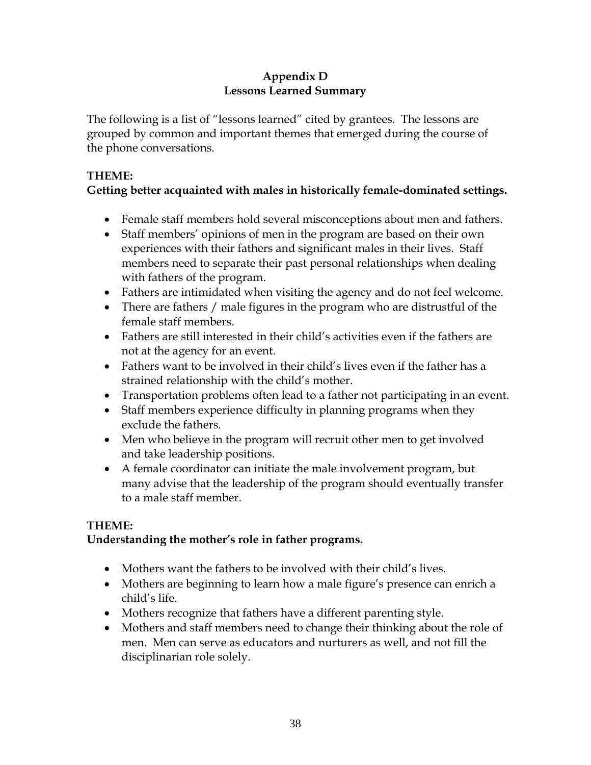## **Appendix D Lessons Learned Summary**

The following is a list of "lessons learned" cited by grantees. The lessons are grouped by common and important themes that emerged during the course of the phone conversations.

## **THEME:**

## **Getting better acquainted with males in historically female-dominated settings.**

- Female staff members hold several misconceptions about men and fathers.
- Staff members' opinions of men in the program are based on their own experiences with their fathers and significant males in their lives. Staff members need to separate their past personal relationships when dealing with fathers of the program.
- Fathers are intimidated when visiting the agency and do not feel welcome.
- There are fathers / male figures in the program who are distrustful of the female staff members.
- Fathers are still interested in their child's activities even if the fathers are not at the agency for an event.
- Fathers want to be involved in their child's lives even if the father has a strained relationship with the child's mother.
- Transportation problems often lead to a father not participating in an event.
- Staff members experience difficulty in planning programs when they exclude the fathers.
- Men who believe in the program will recruit other men to get involved and take leadership positions.
- A female coordinator can initiate the male involvement program, but many advise that the leadership of the program should eventually transfer to a male staff member.

## **THEME:**

## **Understanding the mother's role in father programs.**

- Mothers want the fathers to be involved with their child's lives.
- Mothers are beginning to learn how a male figure's presence can enrich a child's life.
- Mothers recognize that fathers have a different parenting style.
- Mothers and staff members need to change their thinking about the role of men. Men can serve as educators and nurturers as well, and not fill the disciplinarian role solely.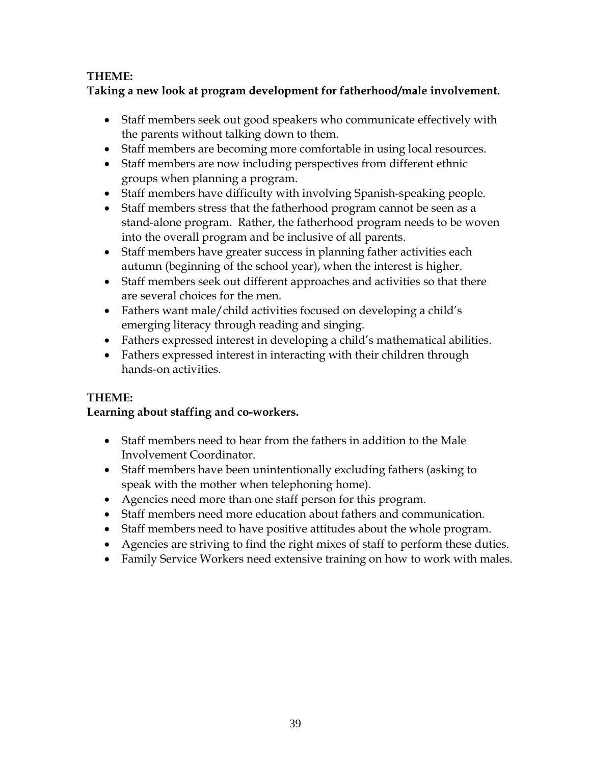## **THEME:**

## **Taking a new look at program development for fatherhood/male involvement.**

- Staff members seek out good speakers who communicate effectively with the parents without talking down to them.
- Staff members are becoming more comfortable in using local resources.
- Staff members are now including perspectives from different ethnic groups when planning a program.
- Staff members have difficulty with involving Spanish-speaking people.
- Staff members stress that the fatherhood program cannot be seen as a stand-alone program. Rather, the fatherhood program needs to be woven into the overall program and be inclusive of all parents.
- Staff members have greater success in planning father activities each autumn (beginning of the school year), when the interest is higher.
- Staff members seek out different approaches and activities so that there are several choices for the men.
- Fathers want male/child activities focused on developing a child's emerging literacy through reading and singing.
- Fathers expressed interest in developing a child's mathematical abilities.
- Fathers expressed interest in interacting with their children through hands-on activities.

## **THEME:**

## **Learning about staffing and co-workers.**

- Staff members need to hear from the fathers in addition to the Male Involvement Coordinator.
- Staff members have been unintentionally excluding fathers (asking to speak with the mother when telephoning home).
- Agencies need more than one staff person for this program.
- Staff members need more education about fathers and communication.
- Staff members need to have positive attitudes about the whole program.
- Agencies are striving to find the right mixes of staff to perform these duties.
- Family Service Workers need extensive training on how to work with males.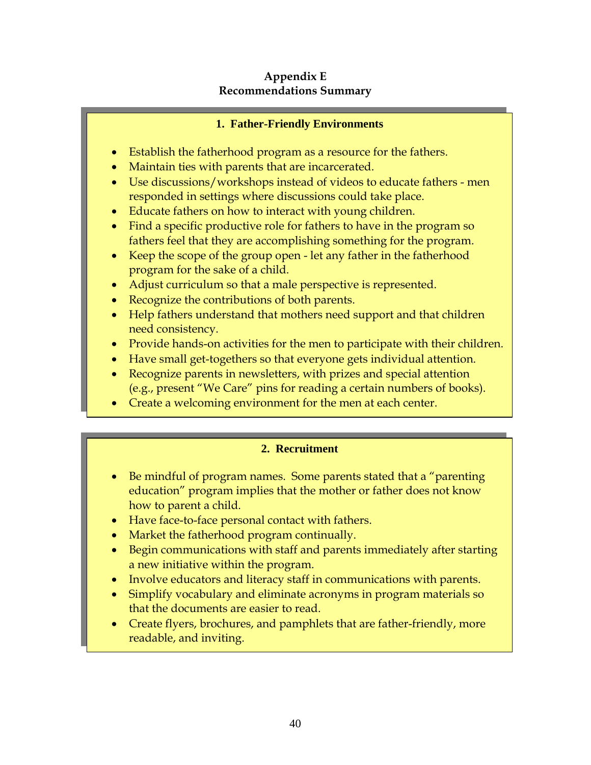### **Appendix E Recommendations Summary**

### **1. Father-Friendly Environments**

- Establish the fatherhood program as a resource for the fathers.
- Maintain ties with parents that are incarcerated.
- Use discussions/workshops instead of videos to educate fathers men responded in settings where discussions could take place.
- Educate fathers on how to interact with young children.
- Find a specific productive role for fathers to have in the program so fathers feel that they are accomplishing something for the program.
- Keep the scope of the group open let any father in the fatherhood program for the sake of a child.
- Adjust curriculum so that a male perspective is represented.
- Recognize the contributions of both parents.
- Help fathers understand that mothers need support and that children need consistency.
- Provide hands-on activities for the men to participate with their children.
- Have small get-togethers so that everyone gets individual attention.
- Recognize parents in newsletters, with prizes and special attention (e.g., present "We Care" pins for reading a certain numbers of books).
- Create a welcoming environment for the men at each center.

## **2. Recruitment**

- Be mindful of program names. Some parents stated that a "parenting education" program implies that the mother or father does not know how to parent a child.
- Have face-to-face personal contact with fathers.
- Market the fatherhood program continually.
- Begin communications with staff and parents immediately after starting a new initiative within the program.
- Involve educators and literacy staff in communications with parents.
- Simplify vocabulary and eliminate acronyms in program materials so that the documents are easier to read.
- Create flyers, brochures, and pamphlets that are father-friendly, more readable, and inviting.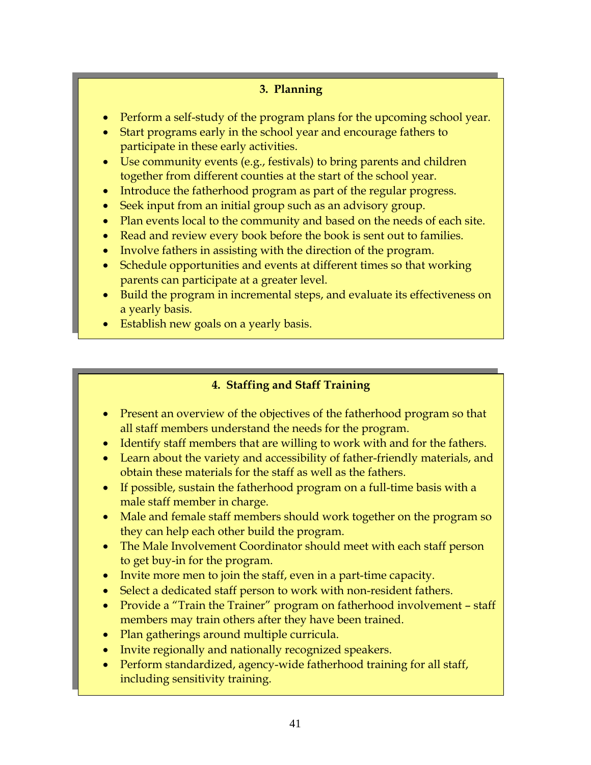## **3. Planning**

- Perform a self-study of the program plans for the upcoming school year.
- Start programs early in the school year and encourage fathers to participate in these early activities.
- Use community events (e.g., festivals) to bring parents and children together from different counties at the start of the school year.
- Introduce the fatherhood program as part of the regular progress.
- Seek input from an initial group such as an advisory group.
- Plan events local to the community and based on the needs of each site.
- Read and review every book before the book is sent out to families.
- Involve fathers in assisting with the direction of the program.
- Schedule opportunities and events at different times so that working parents can participate at a greater level.
- Build the program in incremental steps, and evaluate its effectiveness on a yearly basis.
- Establish new goals on a yearly basis.

## **4. Staffing and Staff Training**

- Present an overview of the objectives of the fatherhood program so that all staff members understand the needs for the program.
- Identify staff members that are willing to work with and for the fathers.
- Learn about the variety and accessibility of father-friendly materials, and obtain these materials for the staff as well as the fathers.
- If possible, sustain the fatherhood program on a full-time basis with a male staff member in charge.
- Male and female staff members should work together on the program so they can help each other build the program.
- The Male Involvement Coordinator should meet with each staff person to get buy-in for the program.
- Invite more men to join the staff, even in a part-time capacity.
- Select a dedicated staff person to work with non-resident fathers.
- Provide a "Train the Trainer" program on fatherhood involvement staff members may train others after they have been trained.
- Plan gatherings around multiple curricula.
- Invite regionally and nationally recognized speakers.
- Perform standardized, agency-wide fatherhood training for all staff, including sensitivity training.